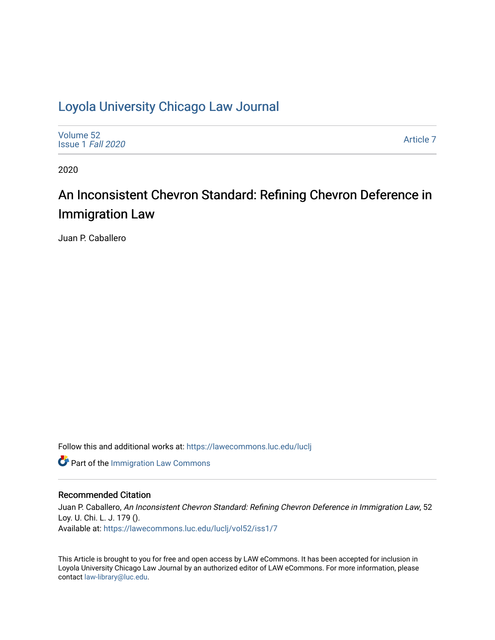# [Loyola University Chicago Law Journal](https://lawecommons.luc.edu/luclj)

| Volume 52<br>Issue 1 Fall 2020 | Article 7 |
|--------------------------------|-----------|
|--------------------------------|-----------|

2020

# An Inconsistent Chevron Standard: Refining Chevron Deference in Immigration Law

Juan P. Caballero

Follow this and additional works at: [https://lawecommons.luc.edu/luclj](https://lawecommons.luc.edu/luclj?utm_source=lawecommons.luc.edu%2Fluclj%2Fvol52%2Fiss1%2F7&utm_medium=PDF&utm_campaign=PDFCoverPages) 

**Part of the [Immigration Law Commons](http://network.bepress.com/hgg/discipline/604?utm_source=lawecommons.luc.edu%2Fluclj%2Fvol52%2Fiss1%2F7&utm_medium=PDF&utm_campaign=PDFCoverPages)** 

# Recommended Citation

Juan P. Caballero, An Inconsistent Chevron Standard: Refining Chevron Deference in Immigration Law, 52 Loy. U. Chi. L. J. 179 (). Available at: [https://lawecommons.luc.edu/luclj/vol52/iss1/7](https://lawecommons.luc.edu/luclj/vol52/iss1/7?utm_source=lawecommons.luc.edu%2Fluclj%2Fvol52%2Fiss1%2F7&utm_medium=PDF&utm_campaign=PDFCoverPages) 

This Article is brought to you for free and open access by LAW eCommons. It has been accepted for inclusion in Loyola University Chicago Law Journal by an authorized editor of LAW eCommons. For more information, please contact [law-library@luc.edu.](mailto:law-library@luc.edu)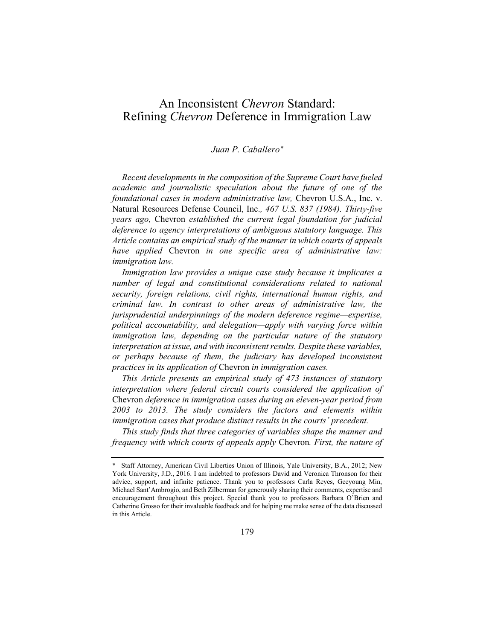# An Inconsistent *Chevron* Standard: Refining *Chevron* Deference in Immigration Law

## *Juan P. Caballero\**

*Recent developments in the composition of the Supreme Court have fueled academic and journalistic speculation about the future of one of the foundational cases in modern administrative law,* Chevron U.S.A., Inc. v. Natural Resources Defense Council, Inc.*, 467 U.S. 837 (1984). Thirty-five years ago,* Chevron *established the current legal foundation for judicial deference to agency interpretations of ambiguous statutory language. This Article contains an empirical study of the manner in which courts of appeals have applied* Chevron *in one specific area of administrative law: immigration law.*

*Immigration law provides a unique case study because it implicates a number of legal and constitutional considerations related to national security, foreign relations, civil rights, international human rights, and criminal law. In contrast to other areas of administrative law, the jurisprudential underpinnings of the modern deference regime—expertise, political accountability, and delegation—apply with varying force within immigration law, depending on the particular nature of the statutory interpretation at issue, and with inconsistent results. Despite these variables, or perhaps because of them, the judiciary has developed inconsistent practices in its application of* Chevron *in immigration cases.*

*This Article presents an empirical study of 473 instances of statutory interpretation where federal circuit courts considered the application of*  Chevron *deference in immigration cases during an eleven-year period from 2003 to 2013. The study considers the factors and elements within immigration cases that produce distinct results in the courts' precedent.*

*This study finds that three categories of variables shape the manner and frequency with which courts of appeals apply* Chevron*. First, the nature of* 

<sup>\*</sup> Staff Attorney, American Civil Liberties Union of Illinois, Yale University, B.A., 2012; New York University, J.D., 2016. I am indebted to professors David and Veronica Thronson for their advice, support, and infinite patience. Thank you to professors Carla Reyes, Geeyoung Min, Michael Sant'Ambrogio, and Beth Zilberman for generously sharing their comments, expertise and encouragement throughout this project. Special thank you to professors Barbara O'Brien and Catherine Grosso for their invaluable feedback and for helping me make sense of the data discussed in this Article.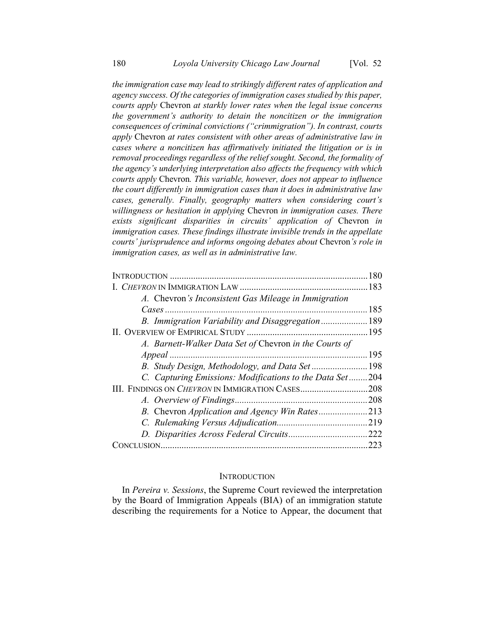*the immigration case may lead to strikingly different rates of application and agency success. Of the categories of immigration cases studied by this paper, courts apply* Chevron *at starkly lower rates when the legal issue concerns the government's authority to detain the noncitizen or the immigration consequences of criminal convictions ("crimmigration"). In contrast, courts apply* Chevron *at rates consistent with other areas of administrative law in cases where a noncitizen has affirmatively initiated the litigation or is in removal proceedings regardless of the relief sought. Second, the formality of the agency's underlying interpretation also affects the frequency with which courts apply* Chevron*. This variable, however, does not appear to influence the court differently in immigration cases than it does in administrative law cases, generally. Finally, geography matters when considering court's willingness or hesitation in applying* Chevron *in immigration cases. There exists significant disparities in circuits' application of* Chevron *in immigration cases. These findings illustrate invisible trends in the appellate courts' jurisprudence and informs ongoing debates about* Chevron*'s role in immigration cases, as well as in administrative law.*

|                                                          | 180  |
|----------------------------------------------------------|------|
|                                                          |      |
| A. Chevron's Inconsistent Gas Mileage in Immigration     |      |
|                                                          |      |
| B. Immigration Variability and Disaggregation 189        |      |
|                                                          |      |
| A. Barnett-Walker Data Set of Chevron in the Courts of   |      |
|                                                          |      |
|                                                          |      |
| C. Capturing Emissions: Modifications to the Data Set204 |      |
| III. FINDINGS ON <i>CHEVRON</i> IN IMMIGRATION CASES     | .208 |
|                                                          |      |
|                                                          |      |
|                                                          |      |
|                                                          |      |
|                                                          |      |

#### **INTRODUCTION**

In *Pereira v. Sessions*, the Supreme Court reviewed the interpretation by the Board of Immigration Appeals (BIA) of an immigration statute describing the requirements for a Notice to Appear, the document that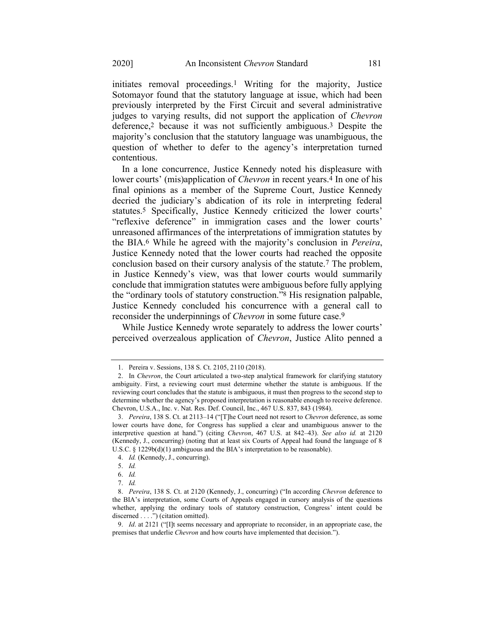initiates removal proceedings.1 Writing for the majority, Justice Sotomayor found that the statutory language at issue, which had been previously interpreted by the First Circuit and several administrative judges to varying results, did not support the application of *Chevron*  deference,2 because it was not sufficiently ambiguous.3 Despite the majority's conclusion that the statutory language was unambiguous, the question of whether to defer to the agency's interpretation turned contentious.

In a lone concurrence, Justice Kennedy noted his displeasure with lower courts' (mis)application of *Chevron* in recent years.4 In one of his final opinions as a member of the Supreme Court, Justice Kennedy decried the judiciary's abdication of its role in interpreting federal statutes.5 Specifically, Justice Kennedy criticized the lower courts' "reflexive deference" in immigration cases and the lower courts' unreasoned affirmances of the interpretations of immigration statutes by the BIA.6 While he agreed with the majority's conclusion in *Pereira*, Justice Kennedy noted that the lower courts had reached the opposite conclusion based on their cursory analysis of the statute.7 The problem, in Justice Kennedy's view, was that lower courts would summarily conclude that immigration statutes were ambiguous before fully applying the "ordinary tools of statutory construction."8 His resignation palpable, Justice Kennedy concluded his concurrence with a general call to reconsider the underpinnings of *Chevron* in some future case.9

While Justice Kennedy wrote separately to address the lower courts' perceived overzealous application of *Chevron*, Justice Alito penned a

<sup>1.</sup> Pereira v. Sessions, 138 S. Ct. 2105, 2110 (2018).

<sup>2.</sup> In *Chevron*, the Court articulated a two-step analytical framework for clarifying statutory ambiguity. First, a reviewing court must determine whether the statute is ambiguous. If the reviewing court concludes that the statute is ambiguous, it must then progress to the second step to determine whether the agency's proposed interpretation is reasonable enough to receive deference. Chevron, U.S.A., Inc. v. Nat. Res. Def. Council, Inc., 467 U.S. 837, 843 (1984).

<sup>3.</sup> *Pereira*, 138 S. Ct. at 2113–14 ("[T]he Court need not resort to *Chevron* deference, as some lower courts have done, for Congress has supplied a clear and unambiguous answer to the interpretive question at hand.") (citing *Chevron*, 467 U.S. at 842–43). *See also id.* at 2120 (Kennedy, J., concurring) (noting that at least six Courts of Appeal had found the language of 8 U.S.C. § 1229b(d)(1) ambiguous and the BIA's interpretation to be reasonable).

<sup>4.</sup> *Id.* (Kennedy, J., concurring).

<sup>5.</sup> *Id.*

<sup>6.</sup> *Id.*

<sup>7.</sup> *Id.*

<sup>8.</sup> *Pereira*, 138 S. Ct. at 2120 (Kennedy, J., concurring) ("In according *Chevron* deference to the BIA's interpretation, some Courts of Appeals engaged in cursory analysis of the questions whether, applying the ordinary tools of statutory construction, Congress' intent could be discerned . . . .") (citation omitted).

<sup>9.</sup> *Id*. at 2121 ("[I]t seems necessary and appropriate to reconsider, in an appropriate case, the premises that underlie *Chevron* and how courts have implemented that decision.").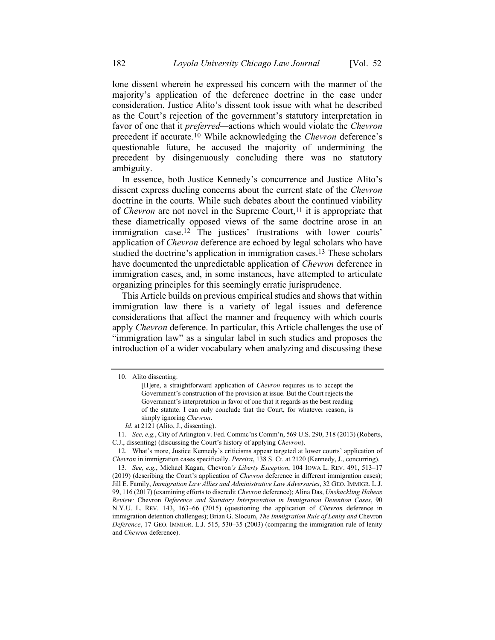lone dissent wherein he expressed his concern with the manner of the majority's application of the deference doctrine in the case under consideration. Justice Alito's dissent took issue with what he described as the Court's rejection of the government's statutory interpretation in favor of one that it *preferred—*actions which would violate the *Chevron* precedent if accurate*.* 10 While acknowledging the *Chevron* deference's questionable future, he accused the majority of undermining the precedent by disingenuously concluding there was no statutory ambiguity.

In essence, both Justice Kennedy's concurrence and Justice Alito's dissent express dueling concerns about the current state of the *Chevron* doctrine in the courts. While such debates about the continued viability of *Chevron* are not novel in the Supreme Court,<sup>11</sup> it is appropriate that these diametrically opposed views of the same doctrine arose in an immigration case.12 The justices' frustrations with lower courts' application of *Chevron* deference are echoed by legal scholars who have studied the doctrine's application in immigration cases.13 These scholars have documented the unpredictable application of *Chevron* deference in immigration cases, and, in some instances, have attempted to articulate organizing principles for this seemingly erratic jurisprudence.

<span id="page-4-0"></span>This Article builds on previous empirical studies and shows that within immigration law there is a variety of legal issues and deference considerations that affect the manner and frequency with which courts apply *Chevron* deference. In particular, this Article challenges the use of "immigration law" as a singular label in such studies and proposes the introduction of a wider vocabulary when analyzing and discussing these

<sup>10.</sup> Alito dissenting:

<sup>[</sup>H]ere, a straightforward application of *Chevron* requires us to accept the Government's construction of the provision at issue. But the Court rejects the Government's interpretation in favor of one that it regards as the best reading of the statute. I can only conclude that the Court, for whatever reason, is simply ignoring *Chevron*.

*Id.* at 2121 (Alito, J., dissenting).

<sup>11.</sup> *See, e.g.*, City of Arlington v. Fed. Commc'ns Comm'n, 569 U.S. 290, 318 (2013) (Roberts, C.J., dissenting) (discussing the Court's history of applying *Chevron*).

<sup>12.</sup> What's more, Justice Kennedy's criticisms appear targeted at lower courts' application of *Chevron* in immigration cases specifically. *Pereira*, 138 S. Ct. at 2120 (Kennedy, J., concurring).

<sup>13.</sup> *See, e.g.*, Michael Kagan, Chevron*'s Liberty Exception*, 104 IOWA L. REV. 491, 513–17 (2019) (describing the Court's application of *Chevron* deference in different immigration cases); Jill E. Family, *Immigration Law Allies and Administrative Law Adversaries*, 32 GEO. IMMIGR. L.J. 99, 116 (2017) (examining efforts to discredit *Chevron* deference); Alina Das, *Unshackling Habeas Review:* Chevron *Deference and Statutory Interpretation in Immigration Detention Cases*, 90 N.Y.U. L. REV. 143, 163–66 (2015) (questioning the application of *Chevron* deference in immigration detention challenges); Brian G. Slocum, *The Immigration Rule of Lenity and* Chevron *Deference*, 17 GEO. IMMIGR. L.J. 515, 530–35 (2003) (comparing the immigration rule of lenity and *Chevron* deference).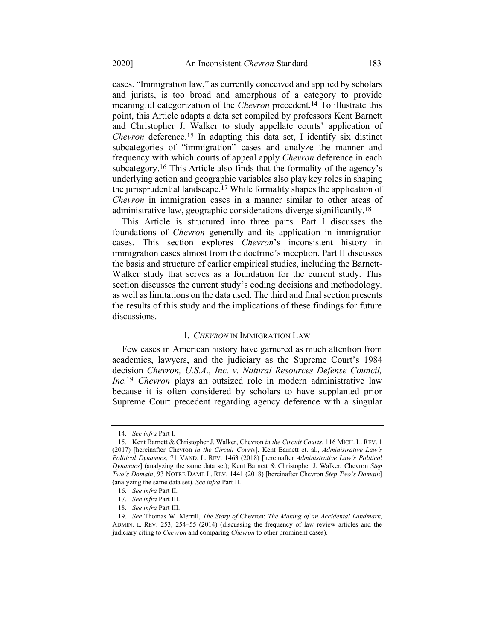<span id="page-5-0"></span>cases. "Immigration law," as currently conceived and applied by scholars and jurists, is too broad and amorphous of a category to provide meaningful categorization of the *Chevron* precedent.14 To illustrate this point, this Article adapts a data set compiled by professors Kent Barnett and Christopher J. Walker to study appellate courts' application of *Chevron* deference.15 In adapting this data set, I identify six distinct subcategories of "immigration" cases and analyze the manner and frequency with which courts of appeal apply *Chevron* deference in each subcategory.16 This Article also finds that the formality of the agency's underlying action and geographic variables also play key roles in shaping the jurisprudential landscape.17 While formality shapes the application of *Chevron* in immigration cases in a manner similar to other areas of administrative law, geographic considerations diverge significantly.18

This Article is structured into three parts. Part I discusses the foundations of *Chevron* generally and its application in immigration cases. This section explores *Chevron*'s inconsistent history in immigration cases almost from the doctrine's inception. Part II discusses the basis and structure of earlier empirical studies, including the Barnett-Walker study that serves as a foundation for the current study. This section discusses the current study's coding decisions and methodology, as well as limitations on the data used. The third and final section presents the results of this study and the implications of these findings for future discussions.

# I. *CHEVRON* IN IMMIGRATION LAW

Few cases in American history have garnered as much attention from academics, lawyers, and the judiciary as the Supreme Court's 1984 decision *Chevron, U.S.A., Inc. v. Natural Resources Defense Council, Inc.*19 *Chevron* plays an outsized role in modern administrative law because it is often considered by scholars to have supplanted prior Supreme Court precedent regarding agency deference with a singular

<sup>14.</sup> *See infra* Part I.

<sup>15.</sup> Kent Barnett & Christopher J. Walker, Chevron *in the Circuit Courts*, 116 MICH. L. REV. 1 (2017) [hereinafter Chevron *in the Circuit Courts*]. Kent Barnett et. al., *Administrative Law's Political Dynamics*, 71 VAND. L. REV. 1463 (2018) [hereinafter *Administrative Law's Political Dynamics*] (analyzing the same data set); Kent Barnett & Christopher J. Walker, Chevron *Step Two's Domain*, 93 NOTRE DAME L. REV. 1441 (2018) [hereinafter Chevron *Step Two's Domain*] (analyzing the same data set). *See infra* Part II.

<sup>16.</sup> *See infra* Part II.

<sup>17.</sup> *See infra* Part III.

<sup>18.</sup> *See infra* Part III.

<sup>19.</sup> *See* Thomas W. Merrill, *The Story of* Chevron: *The Making of an Accidental Landmark*, ADMIN. L. REV. 253, 254–55 (2014) (discussing the frequency of law review articles and the judiciary citing to *Chevron* and comparing *Chevron* to other prominent cases).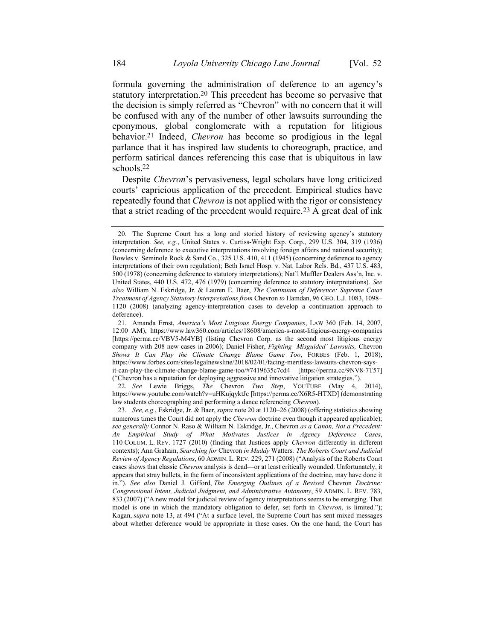<span id="page-6-0"></span>formula governing the administration of deference to an agency's statutory interpretation.20 This precedent has become so pervasive that the decision is simply referred as "Chevron" with no concern that it will be confused with any of the number of other lawsuits surrounding the eponymous, global conglomerate with a reputation for litigious behavior.21 Indeed, *Chevron* has become so prodigious in the legal parlance that it has inspired law students to choreograph, practice, and perform satirical dances referencing this case that is ubiquitous in law schools.22

Despite *Chevron*'s pervasiveness, legal scholars have long criticized courts' capricious application of the precedent. Empirical studies have repeatedly found that *Chevron* is not applied with the rigor or consistency that a strict reading of the precedent would require.<sup>23</sup> A great deal of ink

22. *See* Lewie Briggs, *The* Chevron *Two Step*, YOUTUBE (May 4, 2014), <https://www.youtube.com/watch?v=uHKujqyktJc> [https://perma.cc/X6R5-HTXD] (demonstrating law students choreographing and performing a dance referencing *Chevron*).

<span id="page-6-1"></span><sup>20.</sup> The Supreme Court has a long and storied history of reviewing agency's statutory interpretation. *See, e.g.*, United States v. Curtiss-Wright Exp. Corp., 299 U.S. 304, 319 (1936) (concerning deference to executive interpretations involving foreign affairs and national security); Bowles v. Seminole Rock & Sand Co., 325 U.S. 410, 411 (1945) (concerning deference to agency interpretations of their own regulation); Beth Israel Hosp. v. Nat. Labor Rels. Bd*.*, 437 U.S. 483, 500 (1978) (concerning deference to statutory interpretations); Nat'l Muffler Dealers Ass'n, Inc. v. United States, 440 U.S. 472, 476 (1979) (concerning deference to statutory interpretations). *See also* William N. Eskridge, Jr. & Lauren E. Baer, *The Continuum of Deference: Supreme Court Treatment of Agency Statutory Interpretations from* Chevron *to* Hamdan, 96 GEO. L.J. 1083, 1098– 1120 (2008) (analyzing agency-interpretation cases to develop a continuation approach to deference).

<sup>21.</sup> Amanda Ernst, *America's Most Litigious Energy Companies*, LAW 360 (Feb. 14, 2007, 12:00 AM), https://www.law360.com/articles/18608/america-s-most-litigious-energy-companies [https://perma.cc/VBV5-M4YB] (listing Chevron Corp. as the second most litigious energy company with 208 new cases in 2006); Daniel Fisher, *Fighting 'Misguided' Lawsuits,* Chevron *Shows It Can Play the Climate Change Blame Game Too*, FORBES (Feb. 1, 2018), https://www.forbes.com/sites/legalnewsline/2018/02/01/facing-meritless-lawsuits-chevron-saysit-can-play-the-climate-change-blame-game-too/#7419635c7cd4 [https://perma.cc/9NV8-7T57] ("Chevron has a reputation for deploying aggressive and innovative litigation strategies.").

<sup>23.</sup> *See, e.g.*, Eskridge, Jr. & Baer, *supra* not[e 20](#page-6-0) at 1120–26 (2008) (offering statistics showing numerous times the Court did not apply the *Chevron* doctrine even though it appeared applicable); *see generally* Connor N. Raso & William N. Eskridge, Jr., Chevron *as a Canon, Not a Precedent: An Empirical Study of What Motivates Justices in Agency Deference Cases*, 110 COLUM. L. REV. 1727 (2010) (finding that Justices apply *Chevron* differently in different contexts); Ann Graham, *Searching for* Chevron *in Muddy* Watters*: The Roberts Court and Judicial Review of Agency Regulations*, 60 ADMIN. L. REV. 229, 271 (2008) ("Analysis of the Roberts Court cases shows that classic *Chevron* analysis is dead—or at least critically wounded. Unfortunately, it appears that stray bullets, in the form of inconsistent applications of the doctrine, may have done it in."). *See also* Daniel J. Gifford, *The Emerging Outlines of a Revised* Chevron *Doctrine: Congressional Intent, Judicial Judgment, and Administrative Autonomy*, 59 ADMIN. L. REV. 783, 833 (2007) ("A new model for judicial review of agency interpretations seems to be emerging. That model is one in which the mandatory obligation to defer, set forth in *Chevron*, is limited."); Kagan, *supra* note [13,](#page-4-0) at 494 ("At a surface level, the Supreme Court has sent mixed messages about whether deference would be appropriate in these cases. On the one hand, the Court has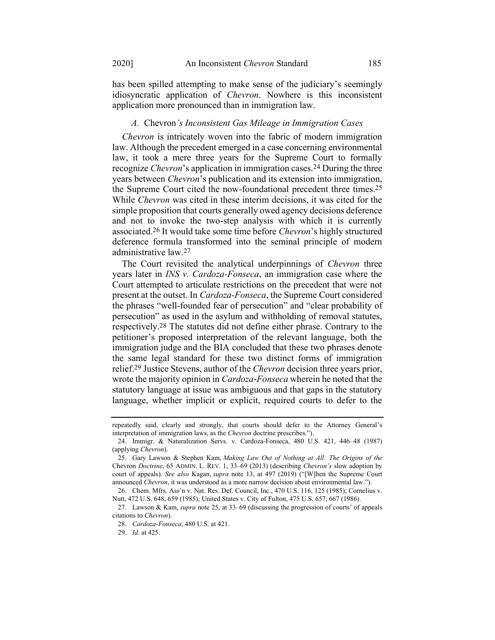has been spilled attempting to make sense of the judiciary's seemingly idiosyncratic application of *Chevron*. Nowhere is this inconsistent application more pronounced than in immigration law.

#### <span id="page-7-0"></span>*A.* Chevron*'s Inconsistent Gas Mileage in Immigration Cases*

*Chevron* is intricately woven into the fabric of modern immigration law. Although the precedent emerged in a case concerning environmental law, it took a mere three years for the Supreme Court to formally recognize *Chevron*'s application in immigration cases.24 During the three years between *Chevron*'s publication and its extension into immigration, the Supreme Court cited the now-foundational precedent three times.25 While *Chevron* was cited in these interim decisions, it was cited for the simple proposition that courts generally owed agency decisions deference and not to invoke the two-step analysis with which it is currently associated.26 It would take some time before *Chevron*'s highly structured deference formula transformed into the seminal principle of modern administrative law.27

The Court revisited the analytical underpinnings of *Chevron* three years later in *INS v. Cardoza-Fonseca*, an immigration case where the Court attempted to articulate restrictions on the precedent that were not present at the outset. In *Cardoza-Fonseca*, the Supreme Court considered the phrases "well-founded fear of persecution" and "clear probability of persecution" as used in the asylum and withholding of removal statutes, respectively.28 The statutes did not define either phrase. Contrary to the petitioner's proposed interpretation of the relevant language, both the immigration judge and the BIA concluded that these two phrases denote the same legal standard for these two distinct forms of immigration relief.29 Justice Stevens, author of the *Chevron* decision three years prior, wrote the majority opinion in *Cardoza*-*Fonseca* wherein he noted that the statutory language at issue was ambiguous and that gaps in the statutory language, whether implicit or explicit, required courts to defer to the

repeatedly said, clearly and strongly, that courts should defer to the Attorney General's interpretation of immigration laws, as the *Chevron* doctrine prescribes.").

<sup>24.</sup> Immigr. & Naturalization Servs. v. Cardoza-Fonseca, 480 U.S. 421, 446–48 (1987) (applying *Chevron*).

<sup>25.</sup> Gary Lawson & Stephen Kam, *Making Law Out of Nothing at All: The Origins of the* Chevron *Doctrine*, 65 ADMIN. L. REV. 1, 33–69 (2013) (describing *Chevron's* slow adoption by court of appeals). *See also* Kagan, *supra* note [13,](#page-4-0) at 497 (2019) ("[W]hen the Supreme Court announced *Chevron*, it was understood as a more narrow decision about environmental law.").

<sup>26.</sup> Chem. Mfrs. Ass'n v. Nat. Res. Def. Council, Inc., 470 U.S. 116, 125 (1985); Cornelius v. Nutt, 472 U.S. 648, 659 (1985); United States v. City of Fulton, 475 U.S. 657, 667 (1986).

<sup>27.</sup> Lawson & Kam, *supra* note [25,](#page-7-0) at 33–69 (discussing the progression of courts' of appeals citations to *Chevron*).

<sup>28.</sup> *Cardoza-Fonseca*, 480 U.S. at 421.

<sup>29.</sup> *Id.* at 425.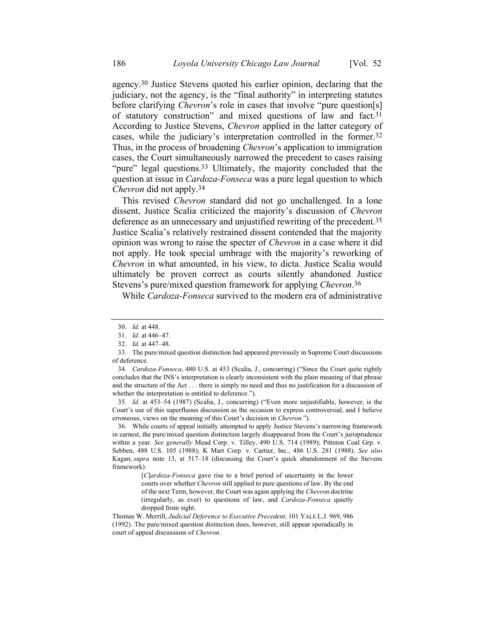agency.30 Justice Stevens quoted his earlier opinion, declaring that the judiciary, not the agency, is the "final authority" in interpreting statutes before clarifying *Chevron*'s role in cases that involve "pure question[s] of statutory construction" and mixed questions of law and fact.31 According to Justice Stevens, *Chevron* applied in the latter category of cases, while the judiciary's interpretation controlled in the former.32 Thus, in the process of broadening *Chevron*'s application to immigration cases, the Court simultaneously narrowed the precedent to cases raising "pure" legal questions.<sup>33</sup> Ultimately, the majority concluded that the question at issue in *Cardoza-Fonseca* was a pure legal question to which *Chevron* did not apply.34

This revised *Chevron* standard did not go unchallenged. In a lone dissent, Justice Scalia criticized the majority's discussion of *Chevron* deference as an unnecessary and unjustified rewriting of the precedent.35 Justice Scalia's relatively restrained dissent contended that the majority opinion was wrong to raise the specter of *Chevron* in a case where it did not apply. He took special umbrage with the majority's reworking of *Chevron* in what amounted, in his view, to dicta. Justice Scalia would ultimately be proven correct as courts silently abandoned Justice Stevens's pure/mixed question framework for applying *Chevron*. 36

While *Cardoza-Fonseca* survived to the modern era of administrative

35*. Id*. at 453–54 (1987) (Scalia, J., concurring) ("Even more unjustifiable, however, is the Court's use of this superfluous discussion as the occasion to express controversial, and I believe erroneous, views on the meaning of this Court's decision in *Chevron.*").

36. While courts of appeal initially attempted to apply Justice Stevens's narrowing framework in earnest, the pure/mixed question distinction largely disappeared from the Court's jurisprudence within a year. *See generally* Mead Corp. v. Tilley, 490 U.S. 714 (1989); Pittston Coal Grp. v. Sebben, 488 U.S. 105 (1988); K Mart Corp. v. Cartier, Inc., 486 U.S. 281 (1988). *See also*  Kagan, *supra* note [13,](#page-4-0) at 517–18 (discussing the Court's quick abandonment of the Stevens framework).

> [*C*]*ardoza-Fonseca* gave rise to a brief period of uncertainty in the lower courts over whether *Chevron* still applied to pure questions of law. By the end of the next Term, however, the Court was again applying the *Chevron* doctrine (irregularly, as ever) to questions of law, and *Cardoza-Fonseca* quietly dropped from sight.

Thomas W. Merrill, *Judicial Deference to Executive Precedent*, 101 YALE L.J. 969, 986 (1992). The pure/mixed question distinction does, however, still appear sporadically in court of appeal discussions of *Chevron*.

<sup>30.</sup> *Id.* at 448.

<sup>31.</sup> *Id.* at 446–47.

<sup>32.</sup> *Id.* at 447–48.

<sup>33.</sup> The pure/mixed question distinction had appeared previously in Supreme Court discussions of deference.

<sup>34.</sup> *Cardoza-Fonseca*, 480 U.S. at 453 (Scalia, J., concurring) ("Since the Court quite rightly concludes that the INS's interpretation is clearly inconsistent with the plain meaning of that phrase and the structure of the Act . . . there is simply no need and thus no justification for a discussion of whether the interpretation is entitled to deference.").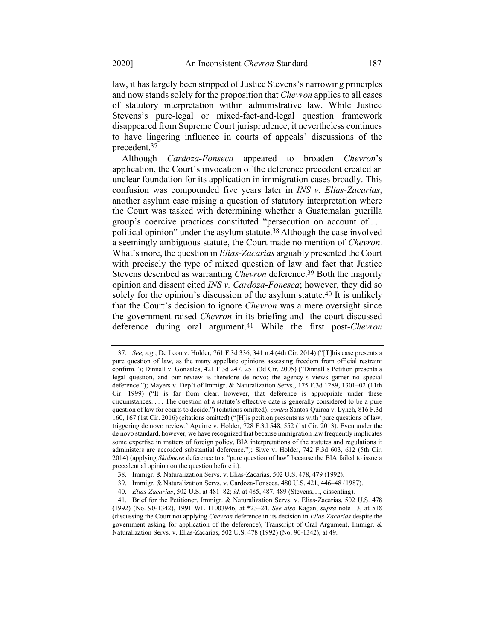law, it has largely been stripped of Justice Stevens's narrowing principles and now stands solely for the proposition that *Chevron* applies to all cases of statutory interpretation within administrative law. While Justice Stevens's pure-legal or mixed-fact-and-legal question framework disappeared from Supreme Court jurisprudence, it nevertheless continues to have lingering influence in courts of appeals' discussions of the precedent.37

Although *Cardoza-Fonseca* appeared to broaden *Chevron*'s application, the Court's invocation of the deference precedent created an unclear foundation for its application in immigration cases broadly. This confusion was compounded five years later in *INS v. Elias-Zacarias*, another asylum case raising a question of statutory interpretation where the Court was tasked with determining whether a Guatemalan guerilla group's coercive practices constituted "persecution on account of . . . political opinion" under the asylum statute.38 Although the case involved a seemingly ambiguous statute, the Court made no mention of *Chevron*. What's more, the question in *Elias-Zacarias* arguably presented the Court with precisely the type of mixed question of law and fact that Justice Stevens described as warranting *Chevron* deference. 39 Both the majority opinion and dissent cited *INS v. Cardoza-Fonesca*; however, they did so solely for the opinion's discussion of the asylum statute. 40 It is unlikely that the Court's decision to ignore *Chevron* was a mere oversight since the government raised *Chevron* in its briefing and the court discussed deference during oral argument. 41 While the first post-*Chevron*

<sup>37.</sup> *See, e.g.*, De Leon v. Holder, 761 F.3d 336, 341 n.4 (4th Cir. 2014) ("[T]his case presents a pure question of law, as the many appellate opinions assessing freedom from official restraint confirm."); Dinnall v. Gonzales, 421 F.3d 247, 251 (3d Cir. 2005) ("Dinnall's Petition presents a legal question, and our review is therefore de novo; the agency's views garner no special deference."); Mayers v. Dep't of Immigr. & Naturalization Servs., 175 F.3d 1289, 1301–02 (11th Cir. 1999) ("It is far from clear, however, that deference is appropriate under these circumstances. . . . The question of a statute's effective date is generally considered to be a pure question of law for courts to decide.") (citations omitted); *contra* Santos-Quiroa v. Lynch, 816 F.3d 160, 167 (1st Cir. 2016) (citations omitted) ("[H]is petition presents us with 'pure questions of law, triggering de novo review.' Aguirre v. Holder, 728 F.3d 548, 552 (1st Cir. 2013). Even under the de novo standard, however, we have recognized that because immigration law frequently implicates some expertise in matters of foreign policy, BIA interpretations of the statutes and regulations it administers are accorded substantial deference."); Siwe v. Holder, 742 F.3d 603, 612 (5th Cir. 2014) (applying *Skidmore* deference to a "pure question of law" because the BIA failed to issue a precedential opinion on the question before it).

<sup>38.</sup> Immigr. & Naturalization Servs. v. Elias-Zacarias, 502 U.S. 478, 479 (1992).

<sup>39.</sup> Immigr. & Naturalization Servs. v. Cardoza-Fonseca, 480 U.S. 421, 446–48 (1987).

<sup>40.</sup> *Elias-Zacarias*, 502 U.S. at 481–82; *id.* at 485, 487, 489 (Stevens, J., dissenting).

<sup>41.</sup> Brief for the Petitioner, Immigr. & Naturalization Servs. v. Elias-Zacarias, 502 U.S. 478 (1992) (No. 90-1342), 1991 WL 11003946, at \*23–24. *See also* Kagan, *supra* note [13,](#page-4-0) at 518 (discussing the Court not applying *Chevron* deference in its decision in *Elias-Zacarias* despite the government asking for application of the deference); Transcript of Oral Argument, Immigr. & Naturalization Servs. v. Elias-Zacarias, 502 U.S. 478 (1992) (No. 90-1342), at 49.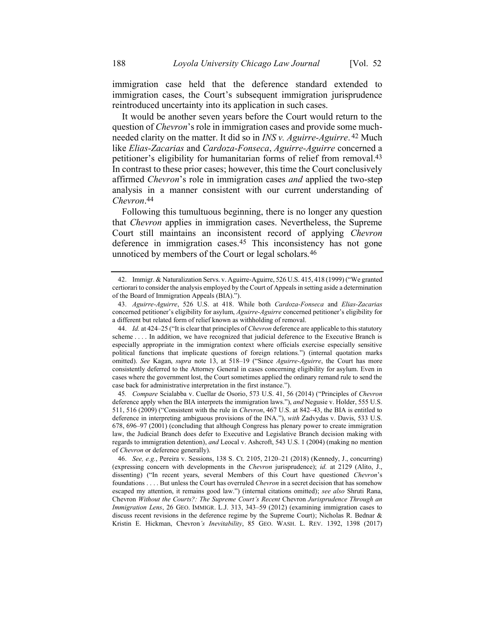immigration case held that the deference standard extended to immigration cases, the Court's subsequent immigration jurisprudence reintroduced uncertainty into its application in such cases.

It would be another seven years before the Court would return to the question of *Chevron*'s role in immigration cases and provide some muchneeded clarity on the matter. It did so in *INS v. Aguirre-Aguirre*. 42 Much like *Elias-Zacarias* and *Cardoza-Fonseca*, *Aguirre-Aguirre* concerned a petitioner's eligibility for humanitarian forms of relief from removal.43 In contrast to these prior cases; however, this time the Court conclusively affirmed *Chevron*'s role in immigration cases *and* applied the two-step analysis in a manner consistent with our current understanding of *Chevron*. 44

Following this tumultuous beginning, there is no longer any question that *Chevron* applies in immigration cases. Nevertheless, the Supreme Court still maintains an inconsistent record of applying *Chevron*  deference in immigration cases.45 This inconsistency has not gone unnoticed by members of the Court or legal scholars.46

45*. Compare* Scialabba v. Cuellar de Osorio, 573 U.S. 41, 56 (2014) ("Principles of *Chevron* deference apply when the BIA interprets the immigration laws."), *and* Negusie v. Holder, 555 U.S. 511, 516 (2009) ("Consistent with the rule in *Chevron*, 467 U.S. at 842–43, the BIA is entitled to deference in interpreting ambiguous provisions of the INA."), *with* Zadvydas v. Davis, 533 U.S. 678, 696–97 (2001) (concluding that although Congress has plenary power to create immigration law, the Judicial Branch does defer to Executive and Legislative Branch decision making with regards to immigration detention), *and* Leocal v. Ashcroft, 543 U.S. 1 (2004) (making no mention of *Chevron* or deference generally).

<span id="page-10-0"></span><sup>42.</sup> Immigr. & Naturalization Servs. v. Aguirre-Aguirre, 526 U.S. 415, 418 (1999) ("We granted certiorari to consider the analysis employed by the Court of Appeals in setting aside a determination of the Board of Immigration Appeals (BIA).").

<sup>43.</sup> *Aguirre-Aguirre*, 526 U.S. at 418. While both *Cardoza-Fonseca* and *Elias-Zacarias* concerned petitioner's eligibility for asylum, *Aguirre-Aguirre* concerned petitioner's eligibility for a different but related form of relief known as withholding of removal.

<sup>44.</sup> *Id.* at 424–25 ("It is clear that principles of *Chevron* deference are applicable to this statutory scheme . . . . In addition, we have recognized that judicial deference to the Executive Branch is especially appropriate in the immigration context where officials exercise especially sensitive political functions that implicate questions of foreign relations.") (internal quotation marks omitted). *See* Kagan, *supra* note [13,](#page-4-0) at 518–19 ("Since *Aguirre-Aguirre*, the Court has more consistently deferred to the Attorney General in cases concerning eligibility for asylum. Even in cases where the government lost, the Court sometimes applied the ordinary remand rule to send the case back for administrative interpretation in the first instance.").

<sup>46.</sup> *See, e.g.*, Pereira v. Sessions, 138 S. Ct. 2105, 2120–21 (2018) (Kennedy, J., concurring) (expressing concern with developments in the *Chevron* jurisprudence); *id.* at 2129 (Alito, J., dissenting) ("In recent years, several Members of this Court have questioned *Chevron*'s foundations . . . . But unless the Court has overruled *Chevron* in a secret decision that has somehow escaped my attention, it remains good law.") (internal citations omitted); *see also* Shruti Rana, Chevron *Without the Courts?: The Supreme Court's Recent* Chevron *Jurisprudence Through an Immigration Lens*, 26 GEO. IMMIGR. L.J. 313, 343–59 (2012) (examining immigration cases to discuss recent revisions in the deference regime by the Supreme Court); Nicholas R. Bednar & Kristin E. Hickman, Chevron*'s Inevitability*, 85 GEO. WASH. L. REV. 1392, 1398 (2017)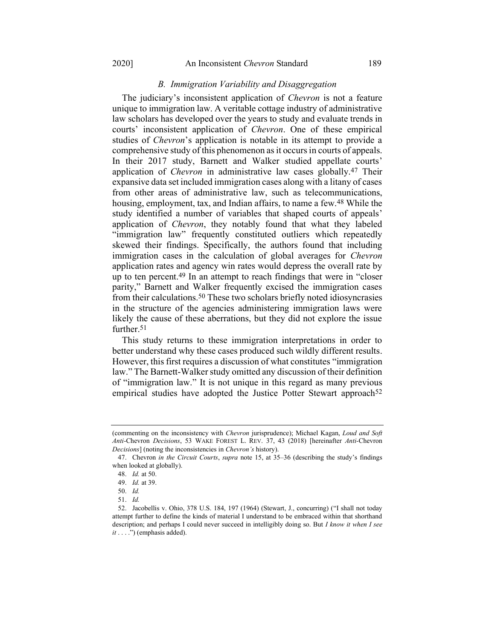## *B. Immigration Variability and Disaggregation*

The judiciary's inconsistent application of *Chevron* is not a feature unique to immigration law. A veritable cottage industry of administrative law scholars has developed over the years to study and evaluate trends in courts' inconsistent application of *Chevron*. One of these empirical studies of *Chevron*'s application is notable in its attempt to provide a comprehensive study of this phenomenon as it occurs in courts of appeals. In their 2017 study, Barnett and Walker studied appellate courts' application of *Chevron* in administrative law cases globally.47 Their expansive data set included immigration cases along with a litany of cases from other areas of administrative law, such as telecommunications, housing, employment, tax, and Indian affairs, to name a few.<sup>48</sup> While the study identified a number of variables that shaped courts of appeals' application of *Chevron*, they notably found that what they labeled "immigration law" frequently constituted outliers which repeatedly skewed their findings. Specifically, the authors found that including immigration cases in the calculation of global averages for *Chevron* application rates and agency win rates would depress the overall rate by up to ten percent.<sup>49</sup> In an attempt to reach findings that were in "closer" parity," Barnett and Walker frequently excised the immigration cases from their calculations.50 These two scholars briefly noted idiosyncrasies in the structure of the agencies administering immigration laws were likely the cause of these aberrations, but they did not explore the issue further.<sup>51</sup>

This study returns to these immigration interpretations in order to better understand why these cases produced such wildly different results. However, this first requires a discussion of what constitutes "immigration law." The Barnett-Walker study omitted any discussion of their definition of "immigration law." It is not unique in this regard as many previous empirical studies have adopted the Justice Potter Stewart approach<sup>52</sup>

<sup>(</sup>commenting on the inconsistency with *Chevron* jurisprudence); Michael Kagan, *Loud and Soft Anti-*Chevron *Decisions*, 53 WAKE FOREST L. REV. 37, 43 (2018) [hereinafter *Anti-*Chevron *Decisions*] (noting the inconsistencies in *Chevron's* history).

<sup>47.</sup> Chevron *in the Circuit Courts*, *supra* note [15,](#page-5-0) at 35–36 (describing the study's findings when looked at globally).

<sup>48.</sup> *Id.* at 50.

<sup>49.</sup> *Id.* at 39.

<sup>50.</sup> *Id.*

<sup>51.</sup> *Id.*

<sup>52.</sup> Jacobellis v. Ohio, 378 U.S. 184, 197 (1964) (Stewart, J., concurring) ("I shall not today attempt further to define the kinds of material I understand to be embraced within that shorthand description; and perhaps I could never succeed in intelligibly doing so. But *I know it when I see it* . . . .") (emphasis added).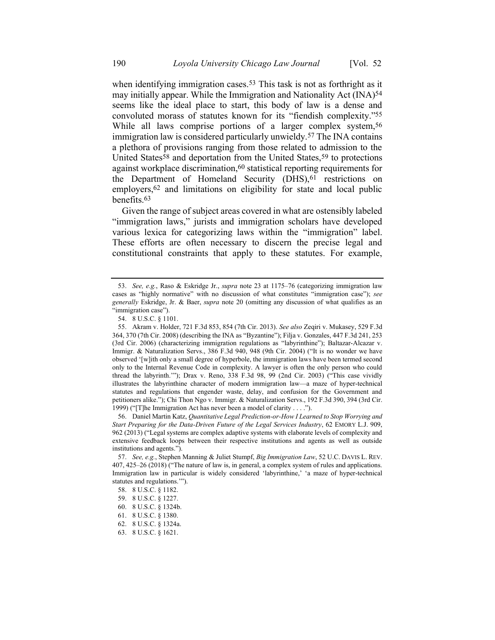when identifying immigration cases.<sup>53</sup> This task is not as forthright as it may initially appear. While the Immigration and Nationality Act (INA)54 seems like the ideal place to start, this body of law is a dense and convoluted morass of statutes known for its "fiendish complexity."55 While all laws comprise portions of a larger complex system,<sup>56</sup> immigration law is considered particularly unwieldy.57 The INA contains a plethora of provisions ranging from those related to admission to the United States<sup>58</sup> and deportation from the United States,<sup>59</sup> to protections against workplace discrimination,<sup>60</sup> statistical reporting requirements for the Department of Homeland Security (DHS),<sup>61</sup> restrictions on employers,<sup>62</sup> and limitations on eligibility for state and local public benefits.63

Given the range of subject areas covered in what are ostensibly labeled "immigration laws," jurists and immigration scholars have developed various lexica for categorizing laws within the "immigration" label. These efforts are often necessary to discern the precise legal and constitutional constraints that apply to these statutes. For example,

<sup>53.</sup> *See, e.g.*, Raso & Eskridge Jr., *supra* note [23](#page-6-1) at 1175–76 (categorizing immigration law cases as "highly normative" with no discussion of what constitutes "immigration case"); *see generally* Eskridge, Jr. & Baer, *supra* note [20](#page-6-0) (omitting any discussion of what qualifies as an "immigration case").

<sup>54.</sup> 8 U.S.C. § 1101.

<sup>55.</sup> Akram v. Holder, 721 F.3d 853, 854 (7th Cir. 2013). *See also* Zeqiri v. Mukasey, 529 F.3d 364, 370 (7th Cir. 2008) (describing the INA as "Byzantine"); Filja v. Gonzales, 447 F.3d 241, 253 (3rd Cir. 2006) (characterizing immigration regulations as "labyrinthine"); Baltazar-Alcazar v. Immigr. & Naturalization Servs., 386 F.3d 940, 948 (9th Cir. 2004) ("It is no wonder we have observed '[w]ith only a small degree of hyperbole, the immigration laws have been termed second only to the Internal Revenue Code in complexity. A lawyer is often the only person who could thread the labyrinth.'"); Drax v. Reno, 338 F.3d 98, 99 (2nd Cir. 2003) ("This case vividly illustrates the labyrinthine character of modern immigration law—a maze of hyper-technical statutes and regulations that engender waste, delay, and confusion for the Government and petitioners alike."); Chi Thon Ngo v. Immigr. & Naturalization Servs., 192 F.3d 390, 394 (3rd Cir. 1999) ("[T]he Immigration Act has never been a model of clarity . . . .").

<sup>56.</sup> Daniel Martin Katz, *Quantitative Legal Prediction-or-How I Learned to Stop Worrying and Start Preparing for the Data-Driven Future of the Legal Services Industry*, 62 EMORY L.J. 909, 962 (2013) ("Legal systems are complex adaptive systems with elaborate levels of complexity and extensive feedback loops between their respective institutions and agents as well as outside institutions and agents.").

<sup>57.</sup> *See, e.g.*, Stephen Manning & Juliet Stumpf, *Big Immigration Law*, 52 U.C. DAVIS L. REV. 407, 425–26 (2018) ("The nature of law is, in general, a complex system of rules and applications. Immigration law in particular is widely considered 'labyrinthine,' 'a maze of hyper-technical statutes and regulations.'").

<sup>58.</sup> 8 U.S.C. § 1182.

<sup>59.</sup> 8 U.S.C. § 1227.

<sup>60.</sup> 8 U.S.C. § 1324b.

<sup>61.</sup> 8 U.S.C. § 1380.

<sup>62.</sup> 8 U.S.C. § 1324a.

<sup>63.</sup> 8 U.S.C. § 1621.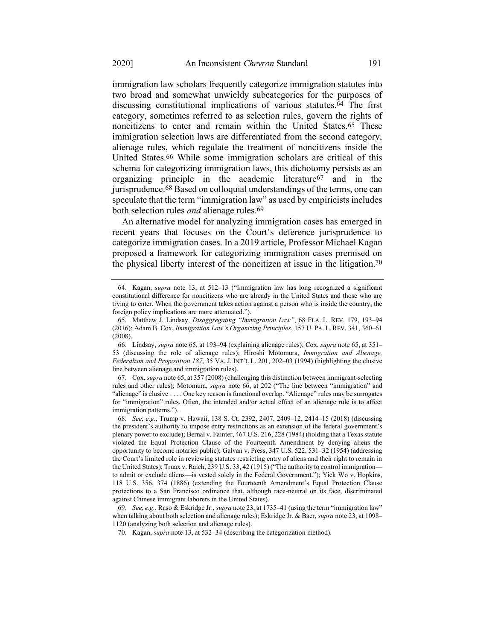<span id="page-13-0"></span>immigration law scholars frequently categorize immigration statutes into two broad and somewhat unwieldy subcategories for the purposes of discussing constitutional implications of various statutes. 64 The first category, sometimes referred to as selection rules, govern the rights of noncitizens to enter and remain within the United States.65 These immigration selection laws are differentiated from the second category, alienage rules, which regulate the treatment of noncitizens inside the United States.66 While some immigration scholars are critical of this schema for categorizing immigration laws, this dichotomy persists as an organizing principle in the academic literature67 and in the jurisprudence.68 Based on colloquial understandings of the terms, one can speculate that the term "immigration law" as used by empiricists includes both selection rules *and* alienage rules.69

<span id="page-13-1"></span>An alternative model for analyzing immigration cases has emerged in recent years that focuses on the Court's deference jurisprudence to categorize immigration cases. In a 2019 article, Professor Michael Kagan proposed a framework for categorizing immigration cases premised on the physical liberty interest of the noncitizen at issue in the litigation.70

67. Cox, *supra* note [65,](#page-13-0) at 357 (2008) (challenging this distinction between immigrant-selecting rules and other rules); Motomura, *supra* note [66,](#page-13-1) at 202 ("The line between "immigration" and "alienage" is elusive . . . . One key reason is functional overlap. "Alienage" rules may be surrogates for "immigration" rules. Often, the intended and/or actual effect of an alienage rule is to affect immigration patterns.").

<sup>64.</sup> Kagan, *supra* note [13,](#page-4-0) at 512–13 ("Immigration law has long recognized a significant constitutional difference for noncitizens who are already in the United States and those who are trying to enter. When the government takes action against a person who is inside the country, the foreign policy implications are more attenuated.").

<sup>65.</sup> Matthew J. Lindsay, *Disaggregating "Immigration Law"*, 68 FLA. L. REV. 179, 193–94 (2016); Adam B. Cox, *Immigration Law's Organizing Principles*, 157 U. PA. L. REV. 341, 360–61 (2008).

<sup>66.</sup> Lindsay, *supra* not[e 65,](#page-13-0) at 193–94 (explaining alienage rules); Cox, *supra* note [65,](#page-13-0) at 351– 53 (discussing the role of alienage rules); Hiroshi Motomura, *Immigration and Alienage, Federalism and Proposition 187*, 35 VA. J. INT'L L. 201, 202–03 (1994) (highlighting the elusive line between alienage and immigration rules).

<sup>68.</sup> *See, e.g.*, Trump v. Hawaii, 138 S. Ct. 2392, 2407, 2409–12, 2414–15 (2018) (discussing the president's authority to impose entry restrictions as an extension of the federal government's plenary power to exclude); Bernal v. Fainter, 467 U.S. 216, 228 (1984) (holding that a Texas statute violated the Equal Protection Clause of the Fourteenth Amendment by denying aliens the opportunity to become notaries public); Galvan v. Press, 347 U.S. 522, 531–32 (1954) (addressing the Court's limited role in reviewing statutes restricting entry of aliens and their right to remain in the United States); Truax v. Raich, 239 U.S. 33, 42 (1915) ("The authority to control immigration to admit or exclude aliens—is vested solely in the Federal Government."); Yick Wo v. Hopkins, 118 U.S. 356, 374 (1886) (extending the Fourteenth Amendment's Equal Protection Clause protections to a San Francisco ordinance that, although race-neutral on its face, discriminated against Chinese immigrant laborers in the United States).

<sup>69.</sup> *See, e.g.*, Raso & Eskridge Jr., *supra* not[e 23,](#page-6-1) at 1735–41 (using the term "immigration law" when talking about both selection and alienage rules); Eskridge Jr. & Baer, *supra* note [23,](#page-6-1) at 1098– 1120 (analyzing both selection and alienage rules).

<sup>70.</sup> Kagan, *supra* note [13,](#page-4-0) at 532–34 (describing the categorization method).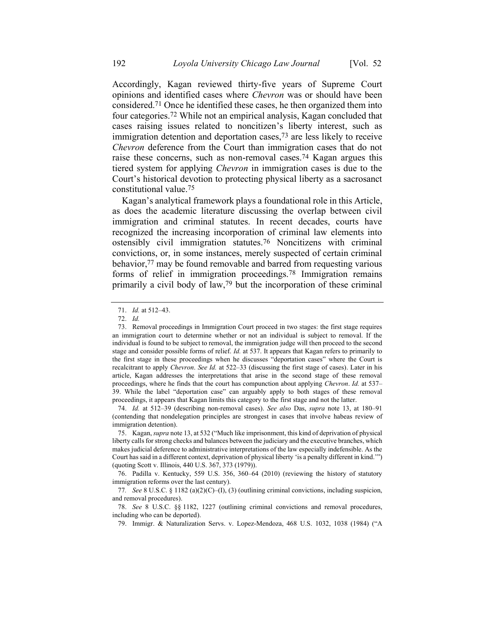Accordingly, Kagan reviewed thirty-five years of Supreme Court opinions and identified cases where *Chevron* was or should have been considered.71 Once he identified these cases, he then organized them into four categories.72 While not an empirical analysis, Kagan concluded that cases raising issues related to noncitizen's liberty interest, such as immigration detention and deportation cases,<sup>73</sup> are less likely to receive *Chevron* deference from the Court than immigration cases that do not raise these concerns, such as non-removal cases.74 Kagan argues this tiered system for applying *Chevron* in immigration cases is due to the Court's historical devotion to protecting physical liberty as a sacrosanct constitutional value.75

Kagan's analytical framework plays a foundational role in this Article, as does the academic literature discussing the overlap between civil immigration and criminal statutes. In recent decades, courts have recognized the increasing incorporation of criminal law elements into ostensibly civil immigration statutes.76 Noncitizens with criminal convictions, or, in some instances, merely suspected of certain criminal behavior,77 may be found removable and barred from requesting various forms of relief in immigration proceedings.78 Immigration remains primarily a civil body of law,79 but the incorporation of these criminal

74. *Id.* at 512–39 (describing non-removal cases). *See also* Das, *supra* note [13,](#page-4-0) at 180–91 (contending that nondelegation principles are strongest in cases that involve habeas review of immigration detention).

<sup>71.</sup> *Id.* at 512–43.

<sup>72.</sup> *Id.*

<sup>73.</sup> Removal proceedings in Immigration Court proceed in two stages: the first stage requires an immigration court to determine whether or not an individual is subject to removal. If the individual is found to be subject to removal, the immigration judge will then proceed to the second stage and consider possible forms of relief. *Id.* at 537. It appears that Kagan refers to primarily to the first stage in these proceedings when he discusses "deportation cases" where the Court is recalcitrant to apply *Chevron*. *See Id.* at 522–33 (discussing the first stage of cases). Later in his article, Kagan addresses the interpretations that arise in the second stage of these removal proceedings, where he finds that the court has compunction about applying *Chevron*. *Id.* at 537– 39. While the label "deportation case" can arguably apply to both stages of these removal proceedings, it appears that Kagan limits this category to the first stage and not the latter.

<sup>75.</sup> Kagan, *supra* note [13,](#page-4-0) at 532 ("Much like imprisonment, this kind of deprivation of physical liberty calls for strong checks and balances between the judiciary and the executive branches, which makes judicial deference to administrative interpretations of the law especially indefensible. As the Court has said in a different context, deprivation of physical liberty 'is a penalty different in kind.'") (quoting Scott v. Illinois, 440 U.S. 367, 373 (1979)).

<sup>76.</sup> Padilla v. Kentucky, 559 U.S. 356, 360–64 (2010) (reviewing the history of statutory immigration reforms over the last century).

<sup>77</sup>*. See* 8 U.S.C. § 1182 (a)(2)(C)–(I), (3) (outlining criminal convictions, including suspicion, and removal procedures).

<sup>78.</sup> *See* 8 U.S.C. §§ 1182, 1227 (outlining criminal convictions and removal procedures, including who can be deported).

<sup>79.</sup> Immigr. & Naturalization Servs. v. Lopez-Mendoza, 468 U.S. 1032, 1038 (1984) ("A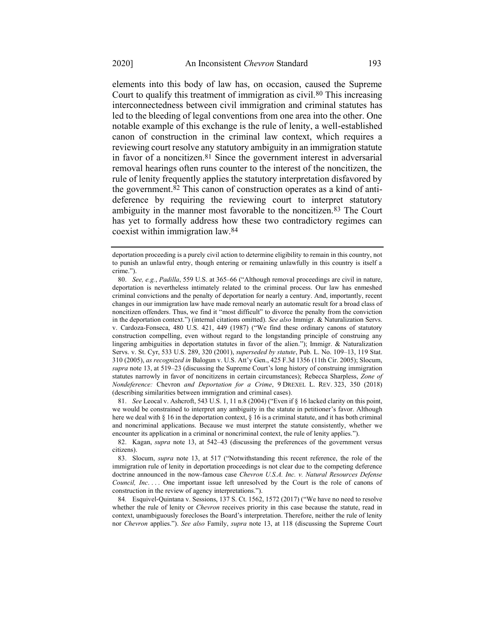elements into this body of law has, on occasion, caused the Supreme Court to qualify this treatment of immigration as civil.80 This increasing interconnectedness between civil immigration and criminal statutes has led to the bleeding of legal conventions from one area into the other. One notable example of this exchange is the rule of lenity, a well-established canon of construction in the criminal law context, which requires a reviewing court resolve any statutory ambiguity in an immigration statute in favor of a noncitizen.81 Since the government interest in adversarial removal hearings often runs counter to the interest of the noncitizen, the rule of lenity frequently applies the statutory interpretation disfavored by the government.82 This canon of construction operates as a kind of antideference by requiring the reviewing court to interpret statutory ambiguity in the manner most favorable to the noncitizen.83 The Court has yet to formally address how these two contradictory regimes can coexist within immigration law.84

81. *See* Leocal v. Ashcroft, 543 U.S. 1, 11 n.8 (2004) ("Even if § 16 lacked clarity on this point, we would be constrained to interpret any ambiguity in the statute in petitioner's favor. Although here we deal with § 16 in the deportation context, § 16 is a criminal statute, and it has both criminal and noncriminal applications. Because we must interpret the statute consistently, whether we encounter its application in a criminal or noncriminal context, the rule of lenity applies.").

deportation proceeding is a purely civil action to determine eligibility to remain in this country, not to punish an unlawful entry, though entering or remaining unlawfully in this country is itself a crime.").

<sup>80.</sup> *See, e.g.*, *Padilla*, 559 U.S. at 365–66 ("Although removal proceedings are civil in nature, deportation is nevertheless intimately related to the criminal process. Our law has enmeshed criminal convictions and the penalty of deportation for nearly a century. And, importantly, recent changes in our immigration law have made removal nearly an automatic result for a broad class of noncitizen offenders. Thus, we find it "most difficult" to divorce the penalty from the conviction in the deportation context.") (internal citations omitted). *See also* Immigr. & Naturalization Servs. v. Cardoza-Fonseca, 480 U.S. 421, 449 (1987) ("We find these ordinary canons of statutory construction compelling, even without regard to the longstanding principle of construing any lingering ambiguities in deportation statutes in favor of the alien."); Immigr. & Naturalization Servs. v. St. Cyr, 533 U.S. 289, 320 (2001), *superseded by statute*, Pub. L. No. 109–13, 119 Stat. 310 (2005), *as recognized in* Balogun v. U.S. Att'y Gen., 425 F.3d 1356 (11th Cir. 2005); Slocum, *supra* note [13,](#page-4-0) at 519–23 (discussing the Supreme Court's long history of construing immigration statutes narrowly in favor of noncitizens in certain circumstances); Rebecca Sharpless, *Zone of Nondeference:* Chevron *and Deportation for a Crime*, 9 DREXEL L. REV. 323, 350 (2018) (describing similarities between immigration and criminal cases).

<sup>82.</sup> Kagan, *supra* note [13,](#page-4-0) at 542–43 (discussing the preferences of the government versus citizens).

<sup>83.</sup> Slocum, *supra* note [13,](#page-4-0) at 517 ("Notwithstanding this recent reference, the role of the immigration rule of lenity in deportation proceedings is not clear due to the competing deference doctrine announced in the now-famous case *Chevron U.S.A. Inc. v. Natural Resources Defense Council, Inc....* One important issue left unresolved by the Court is the role of canons of construction in the review of agency interpretations.").

<sup>84</sup>*.* Esquivel-Quintana v. Sessions, 137 S. Ct. 1562, 1572 (2017) ("We have no need to resolve whether the rule of lenity or *Chevron* receives priority in this case because the statute, read in context, unambiguously forecloses the Board's interpretation. Therefore, neither the rule of lenity nor *Chevron* applies."). *See also* Family, *supra* note [13,](#page-4-0) at 118 (discussing the Supreme Court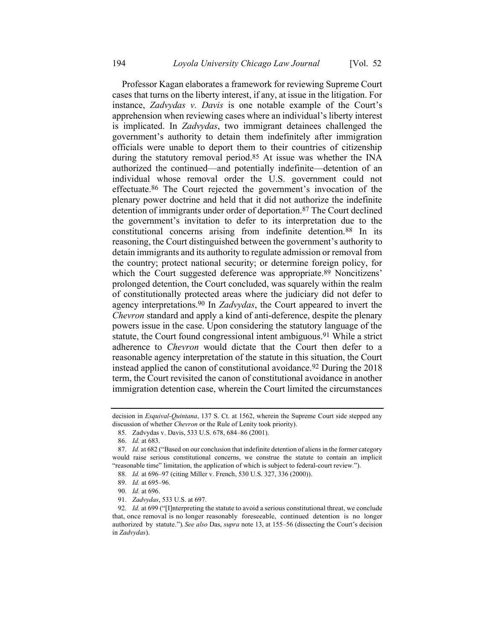Professor Kagan elaborates a framework for reviewing Supreme Court cases that turns on the liberty interest, if any, at issue in the litigation. For instance, *Zadvydas v. Davis* is one notable example of the Court's apprehension when reviewing cases where an individual's liberty interest is implicated. In *Zadvydas*, two immigrant detainees challenged the government's authority to detain them indefinitely after immigration officials were unable to deport them to their countries of citizenship during the statutory removal period.85 At issue was whether the INA authorized the continued—and potentially indefinite—detention of an individual whose removal order the U.S. government could not effectuate.86 The Court rejected the government's invocation of the plenary power doctrine and held that it did not authorize the indefinite detention of immigrants under order of deportation.87 The Court declined the government's invitation to defer to its interpretation due to the constitutional concerns arising from indefinite detention.88 In its reasoning, the Court distinguished between the government's authority to detain immigrants and its authority to regulate admission or removal from the country; protect national security; or determine foreign policy, for which the Court suggested deference was appropriate.<sup>89</sup> Noncitizens' prolonged detention, the Court concluded, was squarely within the realm of constitutionally protected areas where the judiciary did not defer to agency interpretations.90 In *Zadvydas*, the Court appeared to invert the *Chevron* standard and apply a kind of anti-deference, despite the plenary powers issue in the case. Upon considering the statutory language of the statute, the Court found congressional intent ambiguous.<sup>91</sup> While a strict adherence to *Chevron* would dictate that the Court then defer to a reasonable agency interpretation of the statute in this situation, the Court instead applied the canon of constitutional avoidance.92 During the 2018 term, the Court revisited the canon of constitutional avoidance in another immigration detention case, wherein the Court limited the circumstances

decision in *Esquival-Quintana*, 137 S. Ct. at 1562, wherein the Supreme Court side stepped any discussion of whether *Chevron* or the Rule of Lenity took priority).

<sup>85.</sup> Zadvydas v. Davis, 533 U.S. 678, 684–86 (2001).

<sup>86.</sup> *Id.* at 683.

<sup>87.</sup> *Id.* at 682 ("Based on our conclusion that indefinite detention of aliens in the former category would raise serious constitutional concerns, we construe the statute to contain an implicit "reasonable time" limitation, the application of which is subject to federal-court review.").

<sup>88.</sup> *Id.* at 696–97 (citing Miller v. French, 530 U.S. 327, 336 (2000)).

<sup>89.</sup> *Id.* at 695–96.

<sup>90.</sup> *Id.* at 696.

<sup>91.</sup> *Zadvydas*, 533 U.S. at 697.

<sup>92.</sup> *Id.* at 699 ("[I]nterpreting the statute to avoid a serious constitutional threat, we conclude that, once removal is no longer reasonably foreseeable, continued detention is no longer authorized by statute."). *See also* Das, *supra* not[e 13,](#page-4-0) at 155–56 (dissecting the Court's decision in *Zadvydas*).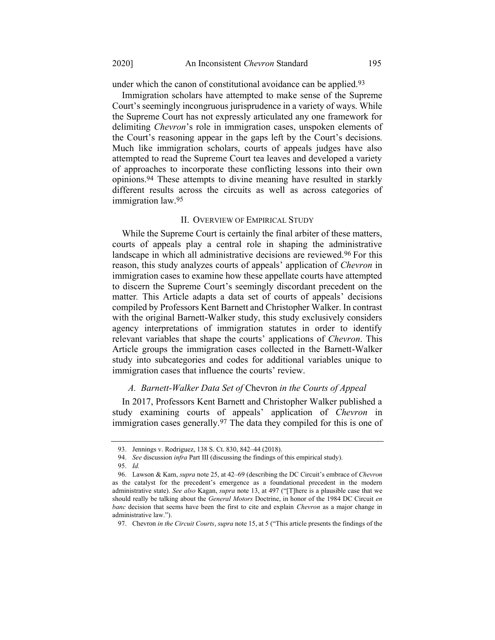under which the canon of constitutional avoidance can be applied.<sup>93</sup>

Immigration scholars have attempted to make sense of the Supreme Court's seemingly incongruous jurisprudence in a variety of ways. While the Supreme Court has not expressly articulated any one framework for delimiting *Chevron*'s role in immigration cases, unspoken elements of the Court's reasoning appear in the gaps left by the Court's decisions. Much like immigration scholars, courts of appeals judges have also attempted to read the Supreme Court tea leaves and developed a variety of approaches to incorporate these conflicting lessons into their own opinions.94 These attempts to divine meaning have resulted in starkly different results across the circuits as well as across categories of immigration law.95

#### II. OVERVIEW OF EMPIRICAL STUDY

While the Supreme Court is certainly the final arbiter of these matters, courts of appeals play a central role in shaping the administrative landscape in which all administrative decisions are reviewed.<sup>96</sup> For this reason, this study analyzes courts of appeals' application of *Chevron* in immigration cases to examine how these appellate courts have attempted to discern the Supreme Court's seemingly discordant precedent on the matter*.* This Article adapts a data set of courts of appeals' decisions compiled by Professors Kent Barnett and Christopher Walker. In contrast with the original Barnett-Walker study, this study exclusively considers agency interpretations of immigration statutes in order to identify relevant variables that shape the courts' applications of *Chevron*. This Article groups the immigration cases collected in the Barnett-Walker study into subcategories and codes for additional variables unique to immigration cases that influence the courts' review.

#### *A. Barnett-Walker Data Set of* Chevron *in the Courts of Appeal*

In 2017, Professors Kent Barnett and Christopher Walker published a study examining courts of appeals' application of *Chevron* in immigration cases generally.<sup>97</sup> The data they compiled for this is one of

<sup>93.</sup> Jennings v. Rodriguez, 138 S. Ct. 830, 842–44 (2018).

<sup>94.</sup> *See* discussion *infra* Part III (discussing the findings of this empirical study).

<sup>95.</sup> *Id.*

<sup>96.</sup> Lawson & Kam, *supra* note [25,](#page-7-0) at 42–69 (describing the DC Circuit's embrace of *Chevron* as the catalyst for the precedent's emergence as a foundational precedent in the modern administrative state). *See also* Kagan, *supra* note [13,](#page-4-0) at 497 ("[T]here is a plausible case that we should really be talking about the *General Motors* Doctrine, in honor of the 1984 DC Circuit *en banc* decision that seems have been the first to cite and explain *Chevron* as a major change in administrative law.").

<sup>97.</sup> Chevron *in the Circuit Courts*, *supra* not[e 15,](#page-5-0) at 5 ("This article presents the findings of the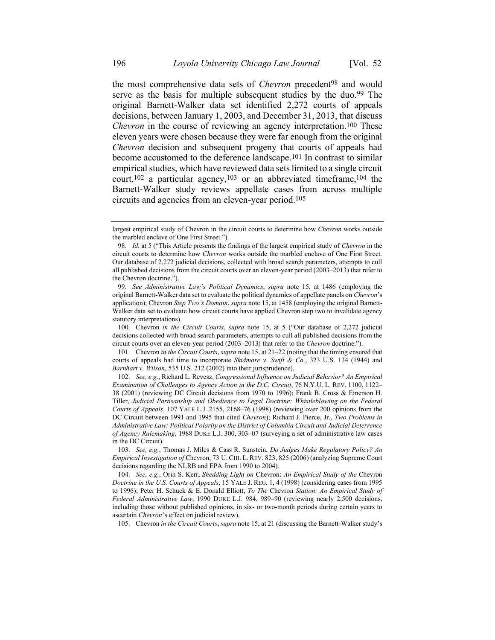the most comprehensive data sets of *Chevron* precedent<sup>98</sup> and would serve as the basis for multiple subsequent studies by the duo.<sup>99</sup> The original Barnett-Walker data set identified 2,272 courts of appeals decisions, between January 1, 2003, and December 31, 2013, that discuss *Chevron* in the course of reviewing an agency interpretation.<sup>100</sup> These eleven years were chosen because they were far enough from the original *Chevron* decision and subsequent progeny that courts of appeals had become accustomed to the deference landscape.101 In contrast to similar empirical studies, which have reviewed data sets limited to a single circuit court,<sup>102</sup> a particular agency,<sup>103</sup> or an abbreviated timeframe,<sup>104</sup> the Barnett-Walker study reviews appellate cases from across multiple circuits and agencies from an eleven-year period.105

105. Chevron *in the Circuit Courts*, *supra* not[e 15,](#page-5-0) at 21 (discussing the Barnett-Walker study's

<span id="page-18-0"></span>largest empirical study of Chevron in the circuit courts to determine how *Chevron* works outside the marbled enclave of One First Street.").

<sup>98.</sup> *Id.* at 5 ("This Article presents the findings of the largest empirical study of *Chevron* in the circuit courts to determine how *Chevron* works outside the marbled enclave of One First Street. Our database of 2,272 judicial decisions, collected with broad search parameters, attempts to cull all published decisions from the circuit courts over an eleven-year period (2003–2013) that refer to the Chevron doctrine.").

<sup>99.</sup> *See Administrative Law's Political Dynamics*, *supra* note [15,](#page-5-0) at 1486 (employing the original Barnett-Walker data set to evaluate the political dynamics of appellate panels on *Chevron*'s application); Chevron *Step Two's Domain*, *supra* not[e 15,](#page-5-0) at 1458 (employing the original Barnett-Walker data set to evaluate how circuit courts have applied Chevron step two to invalidate agency statutory interpretations).

<sup>100.</sup> Chevron *in the Circuit Courts*, *supra* note [15,](#page-5-0) at 5 ("Our database of 2,272 judicial decisions collected with broad search parameters, attempts to cull all published decisions from the circuit courts over an eleven-year period (2003–2013) that refer to the *Chevron* doctrine.").

<sup>101.</sup> Chevron *in the Circuit Courts*, *supra* not[e 15,](#page-5-0) at 21–22 (noting that the timing ensured that courts of appeals had time to incorporate *Skidmore v. Swift & Co.*, 323 U.S. 134 (1944) and *Barnhart v. Wilson*, 535 U.S. 212 (2002) into their jurisprudence).

<sup>102.</sup> *See, e.g.*, Richard L. Revesz, *Congressional Influence on Judicial Behavior? An Empirical Examination of Challenges to Agency Action in the D.C. Circuit*, 76 N.Y.U. L. REV. 1100, 1122– 38 (2001) (reviewing DC Circuit decisions from 1970 to 1996); Frank B. Cross & Emerson H. Tiller, *Judicial Partisanship and Obedience to Legal Doctrine: Whistleblowing on the Federal Courts of Appeals*, 107 YALE L.J. 2155, 2168–76 (1998) (reviewing over 200 opinions from the DC Circuit between 1991 and 1995 that cited *Chevron*); Richard J. Pierce, Jr., *Two Problems in Administrative Law: Political Polarity on the District of Columbia Circuit and Judicial Deterrence of Agency Rulemaking*, 1988 DUKE L.J. 300, 303–07 (surveying a set of administrative law cases in the DC Circuit).

<sup>103.</sup> *See, e.g.*, Thomas J. Miles & Cass R. Sunstein, *Do Judges Make Regulatory Policy? An Empirical Investigation of* Chevron, 73 U. CHI. L. REV. 823, 825 (2006) (analyzing Supreme Court decisions regarding the NLRB and EPA from 1990 to 2004).

<sup>104.</sup> *See, e.g.*, Orin S. Kerr, *Shedding Light on* Chevron: *An Empirical Study of the* Chevron *Doctrine in the U.S. Courts of Appeals*, 15 YALE J. REG. 1, 4 (1998) (considering cases from 1995 to 1996); Peter H. Schuck & E. Donald Elliott, *To The* Chevron *Station: An Empirical Study of Federal Administrative Law*, 1990 DUKE L.J. 984, 989–90 (reviewing nearly 2,500 decisions, including those without published opinions, in six- or two-month periods during certain years to ascertain *Chevron*'s effect on judicial review).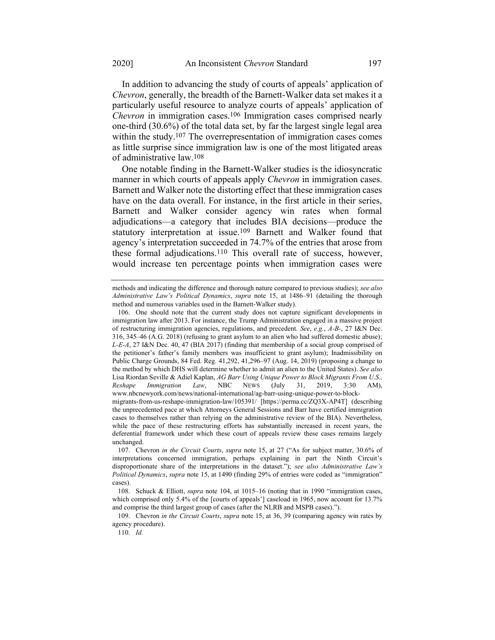In addition to advancing the study of courts of appeals' application of *Chevron*, generally, the breadth of the Barnett-Walker data set makes it a particularly useful resource to analyze courts of appeals' application of *Chevron* in immigration cases.<sup>106</sup> Immigration cases comprised nearly one-third (30.6%) of the total data set, by far the largest single legal area within the study.<sup>107</sup> The overrepresentation of immigration cases comes as little surprise since immigration law is one of the most litigated areas of administrative law.108

One notable finding in the Barnett-Walker studies is the idiosyncratic manner in which courts of appeals apply *Chevron* in immigration cases. Barnett and Walker note the distorting effect that these immigration cases have on the data overall. For instance, in the first article in their series, Barnett and Walker consider agency win rates when formal adjudications—a category that includes BIA decisions—produce the statutory interpretation at issue.109 Barnett and Walker found that agency's interpretation succeeded in 74.7% of the entries that arose from these formal adjudications.110 This overall rate of success, however, would increase ten percentage points when immigration cases were

methods and indicating the difference and thorough nature compared to previous studies); *see also Administrative Law's Political Dynamics*, *supra* note [15,](#page-5-0) at 1486–91 (detailing the thorough method and numerous variables used in the Barnett-Walker study).

<sup>106.</sup> One should note that the current study does not capture significant developments in immigration law after 2013. For instance, the Trump Administration engaged in a massive project of restructuring immigration agencies, regulations, and precedent. *See*, *e.g.*, *A-B-*, 27 I&N Dec. 316, 345–46 (A.G. 2018) (refusing to grant asylum to an alien who had suffered domestic abuse); *L-E-A*, 27 I&N Dec. 40, 47 (BIA 2017) (finding that membership of a social group comprised of the petitioner's father's family members was insufficient to grant asylum); Inadmissibility on Public Charge Grounds, 84 Fed. Reg. 41,292, 41,296–97 (Aug. 14, 2019) (proposing a change to the method by which DHS will determine whether to admit an alien to the United States). *See also*  Lisa Riordan Seville & Adiel Kaplan, *AG Barr Using Unique Power to Block Migrants From U.S., Reshape Immigration Law*, NBC NEWS (July 31, 2019, 3:30 AM), www.nbcnewyork.com/news/national-international/ag-barr-using-unique-power-to-blockmigrants-from-us-reshape-immigration-law/105391/ [https://perma.cc/ZQ3X-AP4T] (describing the unprecedented pace at which Attorneys General Sessions and Barr have certified immigration cases to themselves rather than relying on the administrative review of the BIA). Nevertheless, while the pace of these restructuring efforts has substantially increased in recent years, the deferential framework under which these court of appeals review these cases remains largely unchanged.

<sup>107.</sup> Chevron *in the Circuit Courts*, *supra* note [15,](#page-5-0) at 27 ("As for subject matter, 30.6% of interpretations concerned immigration, perhaps explaining in part the Ninth Circuit's disproportionate share of the interpretations in the dataset."); *see also Administrative Law's Political Dynamics*, *supra* note [15,](#page-5-0) at 1490 (finding 29% of entries were coded as "immigration" cases).

<sup>108.</sup> Schuck & Elliott, *supra* note [104,](#page-18-0) at 1015–16 (noting that in 1990 "immigration cases, which comprised only 5.4% of the [courts of appeals'] caseload in 1965, now account for 13.7% and comprise the third largest group of cases (after the NLRB and MSPB cases).").

<sup>109.</sup> Chevron *in the Circuit Courts*, *supra* not[e 15,](#page-5-0) at 36, 39 (comparing agency win rates by agency procedure).

<sup>110.</sup> *Id.*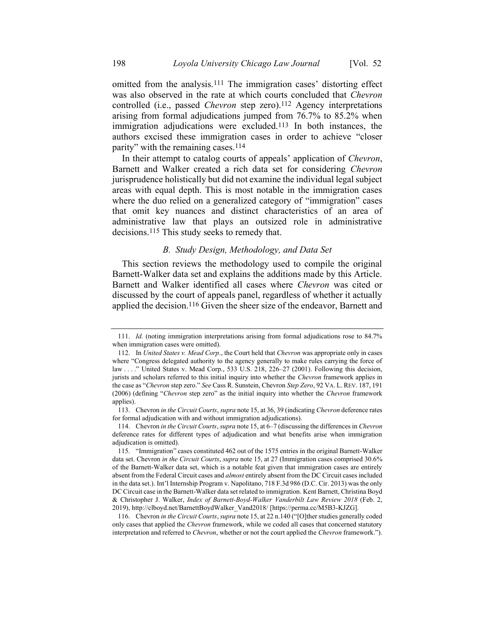omitted from the analysis.111 The immigration cases' distorting effect was also observed in the rate at which courts concluded that *Chevron*  controlled (i.e., passed *Chevron* step zero).112 Agency interpretations arising from formal adjudications jumped from 76.7% to 85.2% when immigration adjudications were excluded.113 In both instances, the authors excised these immigration cases in order to achieve "closer parity" with the remaining cases.114

In their attempt to catalog courts of appeals' application of *Chevron*, Barnett and Walker created a rich data set for considering *Chevron*  jurisprudence holistically but did not examine the individual legal subject areas with equal depth. This is most notable in the immigration cases where the duo relied on a generalized category of "immigration" cases that omit key nuances and distinct characteristics of an area of administrative law that plays an outsized role in administrative decisions.115 This study seeks to remedy that.

#### <span id="page-20-0"></span>*B. Study Design, Methodology, and Data Set*

This section reviews the methodology used to compile the original Barnett-Walker data set and explains the additions made by this Article. Barnett and Walker identified all cases where *Chevron* was cited or discussed by the court of appeals panel, regardless of whether it actually applied the decision.116 Given the sheer size of the endeavor, Barnett and

<sup>111.</sup> *Id.* (noting immigration interpretations arising from formal adjudications rose to 84.7% when immigration cases were omitted).

<sup>112.</sup> In *United States v. Mead Corp*., the Court held that *Chevron* was appropriate only in cases where "Congress delegated authority to the agency generally to make rules carrying the force of law . . . ." United States v. Mead Corp., 533 U.S. 218, 226–27 (2001). Following this decision, jurists and scholars referred to this initial inquiry into whether the *Chevron* framework applies in the case as "*Chevron* step zero." *See* Cass R. Sunstein, Chevron *Step Zero*, 92 VA. L. REV. 187, 191 (2006) (defining "*Chevron* step zero" as the initial inquiry into whether the *Chevron* framework applies).

<sup>113.</sup> Chevron *in the Circuit Courts*, *supra* not[e 15,](#page-5-0) at 36, 39 (indicating *Chevron* deference rates for formal adjudication with and without immigration adjudications).

<sup>114.</sup> Chevron *in the Circuit Courts*, *supra* not[e 15,](#page-5-0) at 6–7 (discussing the differences in *Chevron* deference rates for different types of adjudication and what benefits arise when immigration adjudication is omitted).

<sup>115.</sup> "Immigration" cases constituted 462 out of the 1575 entries in the original Barnett-Walker data set. Chevron *in the Circuit Courts*, *supra* note [15,](#page-5-0) at 27 (Immigration cases comprised 30.6% of the Barnett-Walker data set, which is a notable feat given that immigration cases are entirely absent from the Federal Circuit cases and *almost* entirely absent from the DC Circuit cases included in the data set.). Int'l Internship Program v. Napolitano, 718 F.3d 986 (D.C. Cir. 2013) was the only DC Circuit case in the Barnett-Walker data set related to immigration. Kent Barnett, Christina Boyd & Christopher J. Walker, *Index of Barnett-Boyd-Walker Vanderbilt Law Review 2018* (Feb. 2, 2019), [http://clboyd.net/BarnettBoydWalker\\_Vand2018/](http://clboyd.net/BarnettBoydWalker_Vand2018/) [https://perma.cc/M5B3-KJZG].

<sup>116.</sup> Chevron *in the Circuit Courts*, *supra* not[e 15,](#page-5-0) at 22 n.140 ("[O]ther studies generally coded only cases that applied the *Chevron* framework, while we coded all cases that concerned statutory interpretation and referred to *Chevron*, whether or not the court applied the *Chevron* framework.").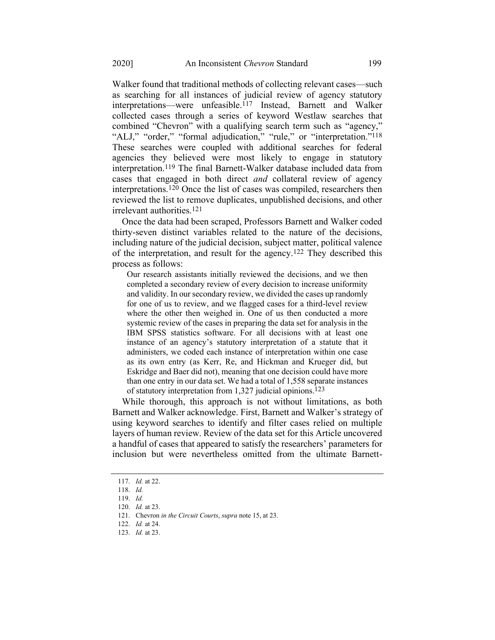Walker found that traditional methods of collecting relevant cases—such as searching for all instances of judicial review of agency statutory interpretations—were unfeasible.117 Instead, Barnett and Walker collected cases through a series of keyword Westlaw searches that combined "Chevron" with a qualifying search term such as "agency," "ALJ," "order," "formal adjudication," "rule," or "interpretation."<sup>118</sup> These searches were coupled with additional searches for federal agencies they believed were most likely to engage in statutory interpretation.119 The final Barnett-Walker database included data from cases that engaged in both direct *and* collateral review of agency interpretations.120 Once the list of cases was compiled, researchers then reviewed the list to remove duplicates, unpublished decisions, and other irrelevant authorities.121

Once the data had been scraped, Professors Barnett and Walker coded thirty-seven distinct variables related to the nature of the decisions, including nature of the judicial decision, subject matter, political valence of the interpretation, and result for the agency.122 They described this process as follows:

Our research assistants initially reviewed the decisions, and we then completed a secondary review of every decision to increase uniformity and validity. In our secondary review, we divided the cases up randomly for one of us to review, and we flagged cases for a third-level review where the other then weighed in. One of us then conducted a more systemic review of the cases in preparing the data set for analysis in the IBM SPSS statistics software. For all decisions with at least one instance of an agency's statutory interpretation of a statute that it administers, we coded each instance of interpretation within one case as its own entry (as Kerr, Re, and Hickman and Krueger did, but Eskridge and Baer did not), meaning that one decision could have more than one entry in our data set. We had a total of 1,558 separate instances of statutory interpretation from 1,327 judicial opinions.123

While thorough, this approach is not without limitations, as both Barnett and Walker acknowledge. First, Barnett and Walker's strategy of using keyword searches to identify and filter cases relied on multiple layers of human review. Review of the data set for this Article uncovered a handful of cases that appeared to satisfy the researchers' parameters for inclusion but were nevertheless omitted from the ultimate Barnett-

<sup>117.</sup> *Id.* at 22.

<sup>118.</sup> *Id.*

<sup>119.</sup> *Id.*

<sup>120.</sup> *Id.* at 23.

<sup>121.</sup> Chevron *in the Circuit Courts*, *supra* not[e 15,](#page-5-0) at 23.

<sup>122.</sup> *Id.* at 24.

<sup>123.</sup> *Id.* at 23.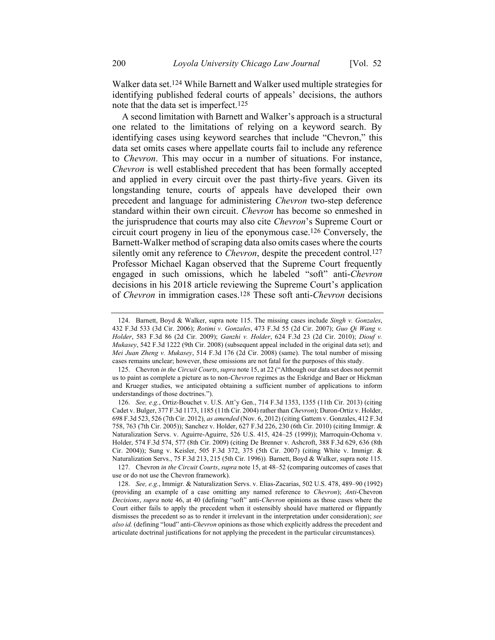Walker data set. 124 While Barnett and Walker used multiple strategies for identifying published federal courts of appeals' decisions, the authors note that the data set is imperfect.125

A second limitation with Barnett and Walker's approach is a structural one related to the limitations of relying on a keyword search. By identifying cases using keyword searches that include "Chevron," this data set omits cases where appellate courts fail to include any reference to *Chevron*. This may occur in a number of situations. For instance, *Chevron* is well established precedent that has been formally accepted and applied in every circuit over the past thirty-five years. Given its longstanding tenure, courts of appeals have developed their own precedent and language for administering *Chevron* two-step deference standard within their own circuit. *Chevron* has become so enmeshed in the jurisprudence that courts may also cite *Chevron*'s Supreme Court or circuit court progeny in lieu of the eponymous case.126 Conversely, the Barnett-Walker method of scraping data also omits cases where the courts silently omit any reference to *Chevron*, despite the precedent control.<sup>127</sup> Professor Michael Kagan observed that the Supreme Court frequently engaged in such omissions, which he labeled "soft" anti-*Chevron* decisions in his 2018 article reviewing the Supreme Court's application of *Chevron* in immigration cases.128 These soft anti-*Chevron* decisions

126. *See, e.g.*, Ortiz-Bouchet v. U.S. Att'y Gen., 714 F.3d 1353, 1355 (11th Cir. 2013) (citing Cadet v. Bulger, 377 F.3d 1173, 1185 (11th Cir. 2004) rather than *Chevron*); Duron-Ortiz v. Holder, 698 F.3d 523, 526 (7th Cir. 2012), *as amended* (Nov. 6, 2012) (citing Gattem v. Gonzales, 412 F.3d 758, 763 (7th Cir. 2005)); Sanchez v. Holder, 627 F.3d 226, 230 (6th Cir. 2010) (citing Immigr. & Naturalization Servs. v. Aguirre-Aguirre, 526 U.S. 415, 424–25 (1999)); Marroquin-Ochoma v. Holder, 574 F.3d 574, 577 (8th Cir. 2009) (citing De Brenner v. Ashcroft, 388 F.3d 629, 636 (8th Cir. 2004)); Sung v. Keisler, 505 F.3d 372, 375 (5th Cir. 2007) (citing White v. Immigr. & Naturalization Servs., 75 F.3d 213, 215 (5th Cir. 1996))*.* Barnett, Boyd & Walker, supra note [115.](#page-20-0) 

127. Chevron *in the Circuit Courts*, *supra* not[e 15,](#page-5-0) at 48–52 (comparing outcomes of cases that use or do not use the Chevron framework).

128. *See, e.g.*, Immigr. & Naturalization Servs. v. Elias-Zacarias, 502 U.S. 478, 489–90 (1992) (providing an example of a case omitting any named reference to *Chevron*); *Anti-*Chevron *Decisions*, *supra* note [46,](#page-10-0) at 40 (defining "soft" anti-*Chevron* opinions as those cases where the Court either fails to apply the precedent when it ostensibly should have mattered or flippantly dismisses the precedent so as to render it irrelevant in the interpretation under consideration); *see also id.* (defining "loud" anti-*Chevron* opinions as those which explicitly address the precedent and articulate doctrinal justifications for not applying the precedent in the particular circumstances).

<sup>124.</sup> Barnett, Boyd & Walker, supra note [115.](#page-20-0) The missing cases include *Singh v. Gonzales*, 432 F.3d 533 (3d Cir. 2006); *Rotimi v. Gonzales*, 473 F.3d 55 (2d Cir. 2007); *Guo Qi Wang v. Holder*, 583 F.3d 86 (2d Cir. 2009); *Ganzhi v. Holder*, 624 F.3d 23 (2d Cir. 2010); *Diouf v. Mukasey*, 542 F.3d 1222 (9th Cir. 2008) (subsequent appeal included in the original data set); and *Mei Juan Zheng v. Mukasey*, 514 F.3d 176 (2d Cir. 2008) (same). The total number of missing cases remains unclear; however, these omissions are not fatal for the purposes of this study.

<sup>125.</sup> Chevron *in the Circuit Courts*, *supra* not[e 15,](#page-5-0) at 22 ("Although our data set does not permit us to paint as complete a picture as to non-*Chevron* regimes as the Eskridge and Baer or Hickman and Krueger studies, we anticipated obtaining a sufficient number of applications to inform understandings of those doctrines.").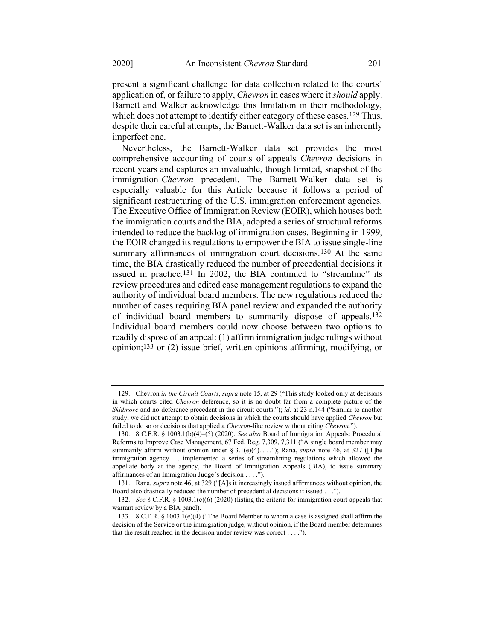present a significant challenge for data collection related to the courts' application of, or failure to apply, *Chevron* in cases where it *should* apply. Barnett and Walker acknowledge this limitation in their methodology, which does not attempt to identify either category of these cases.<sup>129</sup> Thus, despite their careful attempts, the Barnett-Walker data set is an inherently imperfect one.

Nevertheless, the Barnett-Walker data set provides the most comprehensive accounting of courts of appeals *Chevron* decisions in recent years and captures an invaluable, though limited, snapshot of the immigration-*Chevron* precedent. The Barnett-Walker data set is especially valuable for this Article because it follows a period of significant restructuring of the U.S. immigration enforcement agencies. The Executive Office of Immigration Review (EOIR), which houses both the immigration courts and the BIA, adopted a series of structural reforms intended to reduce the backlog of immigration cases. Beginning in 1999, the EOIR changed its regulations to empower the BIA to issue single-line summary affirmances of immigration court decisions.<sup>130</sup> At the same time, the BIA drastically reduced the number of precedential decisions it issued in practice.<sup>131</sup> In 2002, the BIA continued to "streamline" its review procedures and edited case management regulations to expand the authority of individual board members. The new regulations reduced the number of cases requiring BIA panel review and expanded the authority of individual board members to summarily dispose of appeals.132 Individual board members could now choose between two options to readily dispose of an appeal: (1) affirm immigration judge rulings without opinion;133 or (2) issue brief, written opinions affirming, modifying, or

<sup>129.</sup> Chevron *in the Circuit Courts*, *supra* not[e 15,](#page-5-0) at 29 ("This study looked only at decisions in which courts cited *Chevron* deference, so it is no doubt far from a complete picture of the *Skidmore* and no-deference precedent in the circuit courts."); *id.* at 23 n.144 ("Similar to another study, we did not attempt to obtain decisions in which the courts should have applied *Chevron* but failed to do so or decisions that applied a *Chevron*-like review without citing *Chevron.*").

<sup>130.</sup> 8 C.F.R. § 1003.1(b)(4)–(5) (2020). *See also* Board of Immigration Appeals: Procedural Reforms to Improve Case Management, 67 Fed. Reg. 7,309, 7,311 ("A single board member may summarily affirm without opinion under § 3.1(e)(4). . . ."); Rana, *supra* note [46,](#page-10-0) at 327 ([T]he immigration agency . . . implemented a series of streamlining regulations which allowed the appellate body at the agency, the Board of Immigration Appeals (BIA), to issue summary affirmances of an Immigration Judge's decision . . . .").

<sup>131.</sup> Rana, *supra* not[e 46,](#page-10-0) at 329 ("[A]s it increasingly issued affirmances without opinion, the Board also drastically reduced the number of precedential decisions it issued . . .").

<sup>132.</sup> *See* 8 C.F.R. § 1003.1(e)(6) (2020) (listing the criteria for immigration court appeals that warrant review by a BIA panel).

<sup>133.</sup> 8 C.F.R. § 1003.1(e)(4) ("The Board Member to whom a case is assigned shall affirm the decision of the Service or the immigration judge, without opinion, if the Board member determines that the result reached in the decision under review was correct . . . .").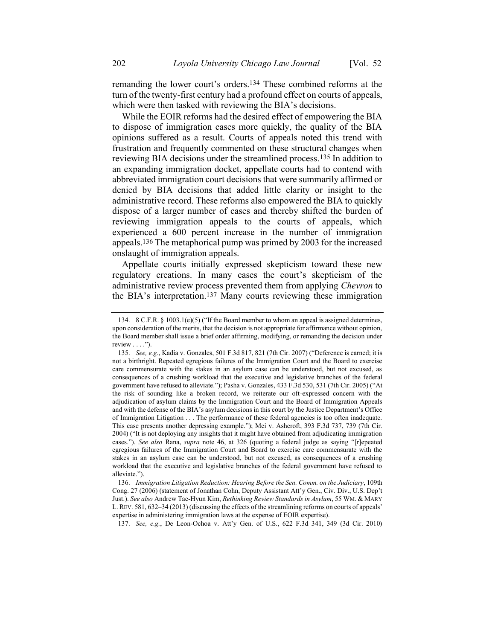remanding the lower court's orders.134 These combined reforms at the turn of the twenty-first century had a profound effect on courts of appeals, which were then tasked with reviewing the BIA's decisions.

While the EOIR reforms had the desired effect of empowering the BIA to dispose of immigration cases more quickly, the quality of the BIA opinions suffered as a result. Courts of appeals noted this trend with frustration and frequently commented on these structural changes when reviewing BIA decisions under the streamlined process.135 In addition to an expanding immigration docket, appellate courts had to contend with abbreviated immigration court decisions that were summarily affirmed or denied by BIA decisions that added little clarity or insight to the administrative record. These reforms also empowered the BIA to quickly dispose of a larger number of cases and thereby shifted the burden of reviewing immigration appeals to the courts of appeals, which experienced a 600 percent increase in the number of immigration appeals.136 The metaphorical pump was primed by 2003 for the increased onslaught of immigration appeals.

Appellate courts initially expressed skepticism toward these new regulatory creations. In many cases the court's skepticism of the administrative review process prevented them from applying *Chevron* to the BIA's interpretation.137 Many courts reviewing these immigration

137. *See, e.g.*, De Leon-Ochoa v. Att'y Gen. of U.S., 622 F.3d 341, 349 (3d Cir. 2010)

<sup>134.</sup> 8 C.F.R. § 1003.1(e)(5) ("If the Board member to whom an appeal is assigned determines, upon consideration of the merits, that the decision is not appropriate for affirmance without opinion, the Board member shall issue a brief order affirming, modifying, or remanding the decision under review  $\dots$ .").

<sup>135.</sup> *See, e.g.*, Kadia v. Gonzales, 501 F.3d 817, 821 (7th Cir. 2007) ("Deference is earned; it is not a birthright. Repeated egregious failures of the Immigration Court and the Board to exercise care commensurate with the stakes in an asylum case can be understood, but not excused, as consequences of a crushing workload that the executive and legislative branches of the federal government have refused to alleviate."); Pasha v. Gonzales, 433 F.3d 530, 531 (7th Cir. 2005) ("At the risk of sounding like a broken record, we reiterate our oft-expressed concern with the adjudication of asylum claims by the Immigration Court and the Board of Immigration Appeals and with the defense of the BIA's asylum decisions in this court by the Justice Department's Office of Immigration Litigation . . . The performance of these federal agencies is too often inadequate. This case presents another depressing example."); Mei v. Ashcroft, 393 F.3d 737, 739 (7th Cir. 2004) ("It is not deploying any insights that it might have obtained from adjudicating immigration cases."). *See also* Rana, *supra* note [46,](#page-10-0) at 326 (quoting a federal judge as saying "[r]epeated egregious failures of the Immigration Court and Board to exercise care commensurate with the stakes in an asylum case can be understood, but not excused, as consequences of a crushing workload that the executive and legislative branches of the federal government have refused to alleviate.").

<sup>136.</sup> *Immigration Litigation Reduction: Hearing Before the Sen. Comm. on the Judiciary*, 109th Cong. 27 (2006) (statement of Jonathan Cohn, Deputy Assistant Att'y Gen., Civ. Div., U.S. Dep't Just.). *See also* Andrew Tae-Hyun Kim, *Rethinking Review Standards in Asylum*, 55 WM. & MARY L. REV. 581, 632–34 (2013) (discussing the effects of the streamlining reforms on courts of appeals' expertise in administering immigration laws at the expense of EOIR expertise).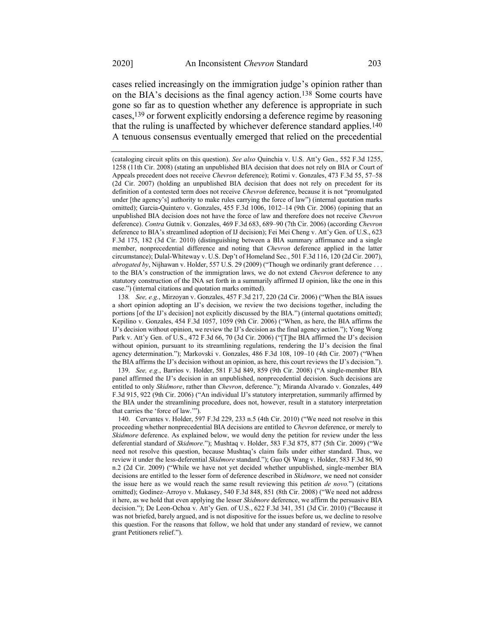cases relied increasingly on the immigration judge's opinion rather than on the BIA's decisions as the final agency action.138 Some courts have gone so far as to question whether any deference is appropriate in such cases,139 or forwent explicitly endorsing a deference regime by reasoning that the ruling is unaffected by whichever deference standard applies.140 A tenuous consensus eventually emerged that relied on the precedential

138*. See, e.g.*, Mirzoyan v. Gonzales, 457 F.3d 217, 220 (2d Cir. 2006) ("When the BIA issues a short opinion adopting an IJ's decision, we review the two decisions together, including the portions [of the IJ's decision] not explicitly discussed by the BIA.") (internal quotations omitted); Kepilino v. Gonzales, 454 F.3d 1057, 1059 (9th Cir. 2006) ("When, as here, the BIA affirms the IJ's decision without opinion, we review the IJ's decision as the final agency action."); Yong Wong Park v. Att'y Gen. of U.S., 472 F.3d 66, 70 (3d Cir. 2006) ("[T]he BIA affirmed the IJ's decision without opinion, pursuant to its streamlining regulations, rendering the IJ's decision the final agency determination."); Markovski v. Gonzales, 486 F.3d 108, 109–10 (4th Cir. 2007) ("When the BIA affirms the IJ's decision without an opinion, as here, this court reviews the IJ's decision.").

139. *See, e.g.*, Barrios v. Holder, 581 F.3d 849, 859 (9th Cir. 2008) ("A single-member BIA panel affirmed the IJ's decision in an unpublished, nonprecedential decision. Such decisions are entitled to only *Skidmore*, rather than *Chevron*, deference."); Miranda Alvarado v. Gonzales, 449 F.3d 915, 922 (9th Cir. 2006) ("An individual IJ's statutory interpretation, summarily affirmed by the BIA under the streamlining procedure, does not, however, result in a statutory interpretation that carries the 'force of law.'").

140. Cervantes v. Holder, 597 F.3d 229, 233 n.5 (4th Cir. 2010) ("We need not resolve in this proceeding whether nonprecedential BIA decisions are entitled to *Chevron* deference, or merely to *Skidmore* deference. As explained below, we would deny the petition for review under the less deferential standard of *Skidmore.*"); Mushtaq v. Holder, 583 F.3d 875, 877 (5th Cir. 2009) ("We need not resolve this question, because Mushtaq's claim fails under either standard. Thus, we review it under the less-deferential *Skidmore* standard."); Guo Qi Wang v. Holder, 583 F.3d 86, 90 n.2 (2d Cir. 2009) ("While we have not yet decided whether unpublished, single-member BIA decisions are entitled to the lesser form of deference described in *Skidmore*, we need not consider the issue here as we would reach the same result reviewing this petition *de novo.*") (citations omitted); Godinez–Arroyo v. Mukasey, 540 F.3d 848, 851 (8th Cir. 2008) ("We need not address it here, as we hold that even applying the lesser *Skidmore* deference, we affirm the persuasive BIA decision."); De Leon-Ochoa v. Att'y Gen. of U.S., 622 F.3d 341, 351 (3d Cir. 2010) ("Because it was not briefed, barely argued, and is not dispositive for the issues before us, we decline to resolve this question. For the reasons that follow, we hold that under any standard of review, we cannot grant Petitioners relief.").

<sup>(</sup>cataloging circuit splits on this question). *See also* Quinchia v. U.S. Att'y Gen*.*, 552 F.3d 1255, 1258 (11th Cir. 2008) (stating an unpublished BIA decision that does not rely on BIA or Court of Appeals precedent does not receive *Chevron* deference); Rotimi v. Gonzales, 473 F.3d 55, 57–58 (2d Cir. 2007) (holding an unpublished BIA decision that does not rely on precedent for its definition of a contested term does not receive *Chevron* deference, because it is not "promulgated under [the agency's] authority to make rules carrying the force of law") (internal quotation marks omitted); Garcia-Quintero v. Gonzales, 455 F.3d 1006, 1012–14 (9th Cir. 2006) (opining that an unpublished BIA decision does not have the force of law and therefore does not receive *Chevron* deference). *Contra* Gutnik v. Gonzales, 469 F.3d 683, 689–90 (7th Cir. 2006) (according *Chevron* deference to BIA's streamlined adoption of IJ decision); Fei Mei Cheng v. Att'y Gen. of U.S., 623 F.3d 175, 182 (3d Cir. 2010) (distinguishing between a BIA summary affirmance and a single member, nonprecedential difference and noting that *Chevron* deference applied in the latter circumstance); Dulal-Whiteway v. U.S. Dep't of Homeland Sec*.*, 501 F.3d 116, 120 (2d Cir. 2007), *abrogated by*, Nijhawan v. Holder, 557 U.S. 29 (2009) ("Though we ordinarily grant deference . . . to the BIA's construction of the immigration laws, we do not extend *Chevron* deference to any statutory construction of the INA set forth in a summarily affirmed IJ opinion, like the one in this case.") (internal citations and quotation marks omitted).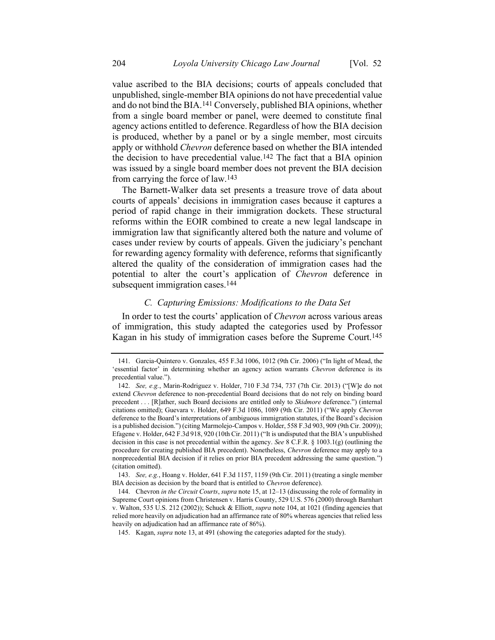value ascribed to the BIA decisions; courts of appeals concluded that unpublished, single-member BIA opinions do not have precedential value and do not bind the BIA.141 Conversely, published BIA opinions, whether from a single board member or panel, were deemed to constitute final agency actions entitled to deference.Regardless of how the BIA decision is produced, whether by a panel or by a single member, most circuits apply or withhold *Chevron* deference based on whether the BIA intended the decision to have precedential value.<sup>142</sup> The fact that a BIA opinion was issued by a single board member does not prevent the BIA decision from carrying the force of law.143

The Barnett-Walker data set presents a treasure trove of data about courts of appeals' decisions in immigration cases because it captures a period of rapid change in their immigration dockets. These structural reforms within the EOIR combined to create a new legal landscape in immigration law that significantly altered both the nature and volume of cases under review by courts of appeals. Given the judiciary's penchant for rewarding agency formality with deference, reforms that significantly altered the quality of the consideration of immigration cases had the potential to alter the court's application of *Chevron* deference in subsequent immigration cases.<sup>144</sup>

# *C. Capturing Emissions: Modifications to the Data Set*

In order to test the courts' application of *Chevron* across various areas of immigration, this study adapted the categories used by Professor Kagan in his study of immigration cases before the Supreme Court.145

<sup>141.</sup> Garcia-Quintero v. Gonzales, 455 F.3d 1006, 1012 (9th Cir. 2006) ("In light of Mead, the 'essential factor' in determining whether an agency action warrants *Chevron* deference is its precedential value.").

<sup>142.</sup> *See, e.g.*, Marin-Rodriguez v. Holder, 710 F.3d 734, 737 (7th Cir. 2013) ("[W]e do not extend *Chevron* deference to non-precedential Board decisions that do not rely on binding board precedent . . . [R]ather, such Board decisions are entitled only to *Skidmore* deference.") (internal citations omitted); Guevara v. Holder, 649 F.3d 1086, 1089 (9th Cir. 2011) ("We apply *Chevron* deference to the Board's interpretations of ambiguous immigration statutes, if the Board's decision is a published decision.") (citing Marmolejo-Campos v. Holder, 558 F.3d 903, 909 (9th Cir. 2009)); Efagene v. Holder, 642 F.3d 918, 920 (10th Cir. 2011) ("It is undisputed that the BIA's unpublished decision in this case is not precedential within the agency. *See* 8 C.F.R. § 1003.1(g) (outlining the procedure for creating published BIA precedent). Nonetheless, *Chevron* deference may apply to a nonprecedential BIA decision if it relies on prior BIA precedent addressing the same question.") (citation omitted).

<sup>143.</sup> *See, e.g.*, Hoang v. Holder, 641 F.3d 1157, 1159 (9th Cir. 2011) (treating a single member BIA decision as decision by the board that is entitled to *Chevron* deference).

<sup>144.</sup> Chevron *in the Circuit Courts*, *supra* not[e 15,](#page-5-0) at 12–13 (discussing the role of formality in Supreme Court opinions from Christensen v. Harris County, 529 U.S. 576 (2000) through Barnhart v. Walton, 535 U.S. 212 (2002)); Schuck & Elliott, *supra* not[e 104,](#page-18-0) at 1021 (finding agencies that relied more heavily on adjudication had an affirmance rate of 80% whereas agencies that relied less heavily on adjudication had an affirmance rate of 86%).

<sup>145.</sup> Kagan, *supra* note [13,](#page-4-0) at 491 (showing the categories adapted for the study).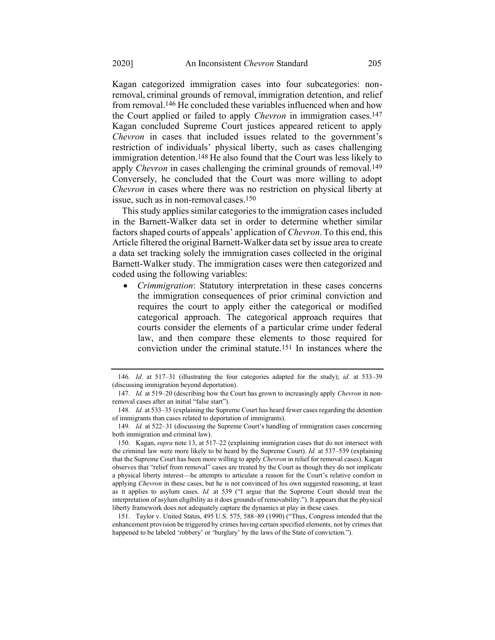Kagan categorized immigration cases into four subcategories: nonremoval, criminal grounds of removal, immigration detention, and relief from removal.146 He concluded these variables influenced when and how the Court applied or failed to apply *Chevron* in immigration cases.147 Kagan concluded Supreme Court justices appeared reticent to apply *Chevron* in cases that included issues related to the government's restriction of individuals' physical liberty, such as cases challenging immigration detention.<sup>148</sup> He also found that the Court was less likely to apply *Chevron* in cases challenging the criminal grounds of removal.<sup>149</sup> Conversely, he concluded that the Court was more willing to adopt *Chevron* in cases where there was no restriction on physical liberty at issue, such as in non-removal cases.150

This study applies similar categories to the immigration cases included in the Barnett-Walker data set in order to determine whether similar factors shaped courts of appeals' application of *Chevron*.To this end, this Article filtered the original Barnett-Walker data set by issue area to create a data set tracking solely the immigration cases collected in the original Barnett-Walker study. The immigration cases were then categorized and coded using the following variables:

• *Crimmigration*: Statutory interpretation in these cases concerns the immigration consequences of prior criminal conviction and requires the court to apply either the categorical or modified categorical approach. The categorical approach requires that courts consider the elements of a particular crime under federal law, and then compare these elements to those required for conviction under the criminal statute.151 In instances where the

<sup>146.</sup> *Id.* at 517–31 (illustrating the four categories adapted for the study); *id.* at 533–39 (discussing immigration beyond deportation).

<sup>147.</sup> *Id.* at 519–20 (describing how the Court has grown to increasingly apply *Chevron* in nonremoval cases after an initial "false start").

<sup>148.</sup> *Id.* at 533–35 (explaining the Supreme Court has heard fewer cases regarding the detention of immigrants than cases related to deportation of immigrants).

<sup>149.</sup> *Id.* at 522–31 (discussing the Supreme Court's handling of immigration cases concerning both immigration and criminal law).

<sup>150.</sup> Kagan, *supra* note [13,](#page-4-0) at 517–22 (explaining immigration cases that do not intersect with the criminal law were more likely to be heard by the Supreme Court). *Id.* at 537–539 (explaining that the Supreme Court has been more willing to apply *Chevron* in relief for removal cases). Kagan observes that "relief from removal" cases are treated by the Court as though they do not implicate a physical liberty interest—he attempts to articulate a reason for the Court's relative comfort in applying *Chevron* in these cases, but he is not convinced of his own suggested reasoning, at least as it applies to asylum cases. *Id.* at 539 ("I argue that the Supreme Court should treat the interpretation of asylum eligibility as it does grounds of removability."). It appears that the physical liberty framework does not adequately capture the dynamics at play in these cases.

<sup>151.</sup> Taylor v. United States, 495 U.S. 575, 588–89 (1990) ("Thus, Congress intended that the enhancement provision be triggered by crimes having certain specified elements, not by crimes that happened to be labeled 'robbery' or 'burglary' by the laws of the State of conviction.").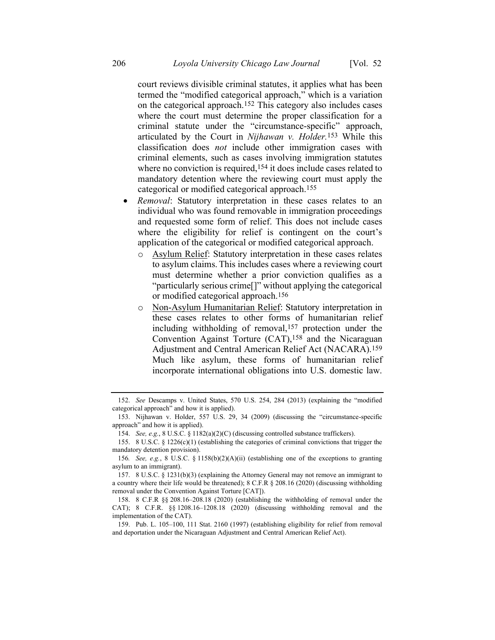court reviews divisible criminal statutes, it applies what has been termed the "modified categorical approach," which is a variation on the categorical approach.152 This category also includes cases where the court must determine the proper classification for a criminal statute under the "circumstance-specific" approach, articulated by the Court in *Nijhawan v. Holder.*153 While this classification does *not* include other immigration cases with criminal elements, such as cases involving immigration statutes where no conviction is required,<sup>154</sup> it does include cases related to mandatory detention where the reviewing court must apply the categorical or modified categorical approach.155

- *Removal*: Statutory interpretation in these cases relates to an individual who was found removable in immigration proceedings and requested some form of relief. This does not include cases where the eligibility for relief is contingent on the court's application of the categorical or modified categorical approach.
	- o Asylum Relief: Statutory interpretation in these cases relates to asylum claims. This includes cases where a reviewing court must determine whether a prior conviction qualifies as a "particularly serious crime[]" without applying the categorical or modified categorical approach.156
	- o Non-Asylum Humanitarian Relief: Statutory interpretation in these cases relates to other forms of humanitarian relief including withholding of removal,<sup>157</sup> protection under the Convention Against Torture (CAT),158 and the Nicaraguan Adjustment and Central American Relief Act (NACARA).159 Much like asylum, these forms of humanitarian relief incorporate international obligations into U.S. domestic law.

<sup>152.</sup> *See* Descamps v. United States, 570 U.S. 254, 284 (2013) (explaining the "modified categorical approach" and how it is applied).

<sup>153.</sup> Nijhawan v. Holder, 557 U.S. 29, 34 (2009) (discussing the "circumstance-specific approach" and how it is applied).

<sup>154.</sup> *See, e.g.*, 8 U.S.C. § 1182(a)(2)(C) (discussing controlled substance traffickers).

<sup>155. 8</sup> U.S.C. § 1226(c)(1) (establishing the categories of criminal convictions that trigger the mandatory detention provision).

<sup>156</sup>*. See, e.g.*, 8 U.S.C. § 1158(b)(2)(A)(ii) (establishing one of the exceptions to granting asylum to an immigrant).

<sup>157.</sup> 8 U.S.C. § 1231(b)(3) (explaining the Attorney General may not remove an immigrant to a country where their life would be threatened); 8 C.F.R § 208.16 (2020) (discussing withholding removal under the Convention Against Torture [CAT]).

<sup>158.</sup> 8 C.F.R §§ 208.16–208.18 (2020) (establishing the withholding of removal under the CAT); 8 C.F.R. §§ 1208.16–1208.18 (2020) (discussing withholding removal and the implementation of the CAT).

<sup>159.</sup> Pub. L. 105–100, 111 Stat. 2160 (1997) (establishing eligibility for relief from removal and deportation under the Nicaraguan Adjustment and Central American Relief Act).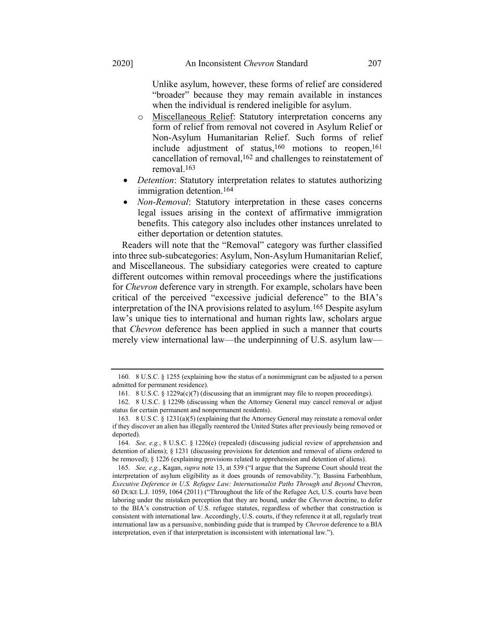Unlike asylum, however, these forms of relief are considered "broader" because they may remain available in instances when the individual is rendered ineligible for asylum.

- o Miscellaneous Relief: Statutory interpretation concerns any form of relief from removal not covered in Asylum Relief or Non-Asylum Humanitarian Relief. Such forms of relief include adjustment of status, 160 motions to reopen, 161 cancellation of removal, 162 and challenges to reinstatement of removal.163
- *Detention*: Statutory interpretation relates to statutes authorizing immigration detention.164
- *Non-Removal*: Statutory interpretation in these cases concerns legal issues arising in the context of affirmative immigration benefits. This category also includes other instances unrelated to either deportation or detention statutes.

<span id="page-29-0"></span>Readers will note that the "Removal" category was further classified into three sub-subcategories: Asylum, Non-Asylum Humanitarian Relief, and Miscellaneous. The subsidiary categories were created to capture different outcomes within removal proceedings where the justifications for *Chevron* deference vary in strength. For example, scholars have been critical of the perceived "excessive judicial deference" to the BIA's interpretation of the INA provisions related to asylum.165 Despite asylum law's unique ties to international and human rights law, scholars argue that *Chevron* deference has been applied in such a manner that courts merely view international law—the underpinning of U.S. asylum law—

<sup>160.</sup> 8 U.S.C. § 1255 (explaining how the status of a nonimmigrant can be adjusted to a person admitted for permanent residence).

<sup>161. 8</sup> U.S.C. § 1229a(c)(7) (discussing that an immigrant may file to reopen proceedings).

<sup>162.</sup> 8 U.S.C. § 1229b (discussing when the Attorney General may cancel removal or adjust status for certain permanent and nonpermanent residents).

<sup>163.</sup> 8 U.S.C. § 1231(a)(5) (explaining that the Attorney General may reinstate a removal order if they discover an alien has illegally reentered the United States after previously being removed or deported).

<sup>164.</sup> *See, e.g.*, 8 U.S.C. § 1226(e) (repealed) (discussing judicial review of apprehension and detention of aliens); § 1231 (discussing provisions for detention and removal of aliens ordered to be removed); § 1226 (explaining provisions related to apprehension and detention of aliens).

<sup>165.</sup> *See, e.g.*, Kagan, *supra* note [13,](#page-4-0) at 539 ("I argue that the Supreme Court should treat the interpretation of asylum eligibility as it does grounds of removability."); Bassina Farbenblum, *Executive Deference in U.S. Refugee Law: Internationalist Paths Through and Beyond* Chevron, 60 DUKE L.J. 1059, 1064 (2011) ("Throughout the life of the Refugee Act, U.S. courts have been laboring under the mistaken perception that they are bound, under the *Chevron* doctrine, to defer to the BIA's construction of U.S. refugee statutes, regardless of whether that construction is consistent with international law. Accordingly, U.S. courts, if they reference it at all, regularly treat international law as a persuasive, nonbinding guide that is trumped by *Chevron* deference to a BIA interpretation, even if that interpretation is inconsistent with international law.").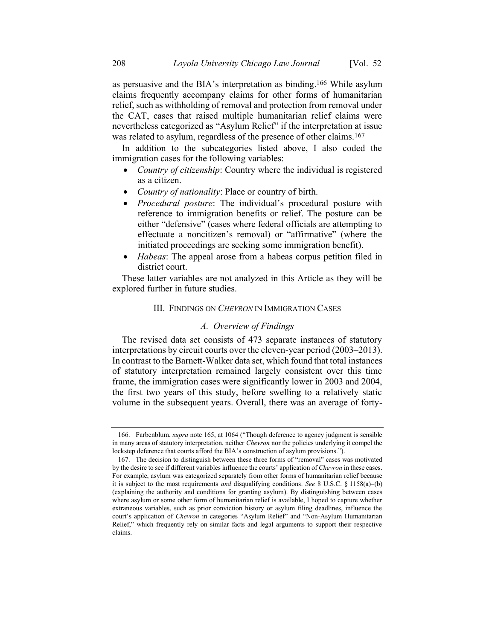as persuasive and the BIA's interpretation as binding. 166 While asylum claims frequently accompany claims for other forms of humanitarian relief, such as withholding of removal and protection from removal under the CAT, cases that raised multiple humanitarian relief claims were nevertheless categorized as "Asylum Relief" if the interpretation at issue was related to asylum, regardless of the presence of other claims.<sup>167</sup>

In addition to the subcategories listed above, I also coded the immigration cases for the following variables:

- *Country of citizenship*: Country where the individual is registered as a citizen.
- *Country of nationality*: Place or country of birth.
- *Procedural posture*: The individual's procedural posture with reference to immigration benefits or relief. The posture can be either "defensive" (cases where federal officials are attempting to effectuate a noncitizen's removal) or "affirmative" (where the initiated proceedings are seeking some immigration benefit).
- *Habeas*: The appeal arose from a habeas corpus petition filed in district court.

These latter variables are not analyzed in this Article as they will be explored further in future studies.

## III. FINDINGS ON *CHEVRON* IN IMMIGRATION CASES

#### *A. Overview of Findings*

The revised data set consists of 473 separate instances of statutory interpretations by circuit courts over the eleven-year period (2003–2013). In contrast to the Barnett-Walker data set, which found that total instances of statutory interpretation remained largely consistent over this time frame, the immigration cases were significantly lower in 2003 and 2004, the first two years of this study, before swelling to a relatively static volume in the subsequent years. Overall, there was an average of forty-

<sup>166.</sup> Farbenblum, *supra* note [165,](#page-29-0) at 1064 ("Though deference to agency judgment is sensible in many areas of statutory interpretation, neither *Chevron* nor the policies underlying it compel the lockstep deference that courts afford the BIA's construction of asylum provisions.").

<sup>167.</sup> The decision to distinguish between these three forms of "removal" cases was motivated by the desire to see if different variables influence the courts' application of *Chevron* in these cases. For example, asylum was categorized separately from other forms of humanitarian relief because it is subject to the most requirements *and* disqualifying conditions. *See* 8 U.S.C. § 1158(a)–(b) (explaining the authority and conditions for granting asylum). By distinguishing between cases where asylum or some other form of humanitarian relief is available, I hoped to capture whether extraneous variables, such as prior conviction history or asylum filing deadlines, influence the court's application of *Chevron* in categories "Asylum Relief" and "Non-Asylum Humanitarian Relief," which frequently rely on similar facts and legal arguments to support their respective claims.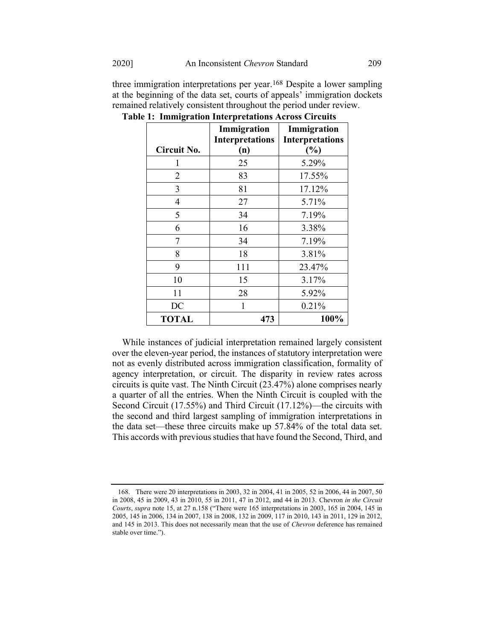|              | Immigration<br><b>Interpretations</b> | Immigration<br><b>Interpretations</b> |
|--------------|---------------------------------------|---------------------------------------|
| Circuit No.  | (n)                                   | (%)                                   |
|              | 25                                    | 5.29%                                 |
| 2            | 83                                    | 17.55%                                |
| 3            | 81                                    | 17.12%                                |
| 4            | 27                                    | 5.71%                                 |
| 5            | 34                                    | 7.19%                                 |
| 6            | 16                                    | 3.38%                                 |
| 7            | 34                                    | 7.19%                                 |
| 8            | 18                                    | 3.81%                                 |
| 9            | 111                                   | 23.47%                                |
| 10           | 15                                    | 3.17%                                 |
| 11           | 28                                    | 5.92%                                 |
| DC           | 1                                     | 0.21%                                 |
| <b>TOTAL</b> | 473                                   | 100%                                  |

three immigration interpretations per year.168 Despite a lower sampling at the beginning of the data set, courts of appeals' immigration dockets remained relatively consistent throughout the period under review.

**Table 1: Immigration Interpretations Across Circuits**

While instances of judicial interpretation remained largely consistent over the eleven-year period, the instances of statutory interpretation were not as evenly distributed across immigration classification, formality of agency interpretation, or circuit. The disparity in review rates across circuits is quite vast. The Ninth Circuit (23.47%) alone comprises nearly a quarter of all the entries. When the Ninth Circuit is coupled with the Second Circuit (17.55%) and Third Circuit (17.12%)—the circuits with the second and third largest sampling of immigration interpretations in the data set—these three circuits make up 57.84% of the total data set. This accords with previous studies that have found the Second, Third, and

<sup>168.</sup> There were 20 interpretations in 2003, 32 in 2004, 41 in 2005, 52 in 2006, 44 in 2007, 50 in 2008, 45 in 2009, 43 in 2010, 55 in 2011, 47 in 2012, and 44 in 2013. Chevron *in the Circuit Courts*, *supra* not[e 15,](#page-5-0) at 27 n.158 ("There were 165 interpretations in 2003, 165 in 2004, 145 in 2005, 145 in 2006, 134 in 2007, 138 in 2008, 132 in 2009, 117 in 2010, 143 in 2011, 129 in 2012, and 145 in 2013. This does not necessarily mean that the use of *Chevron* deference has remained stable over time.").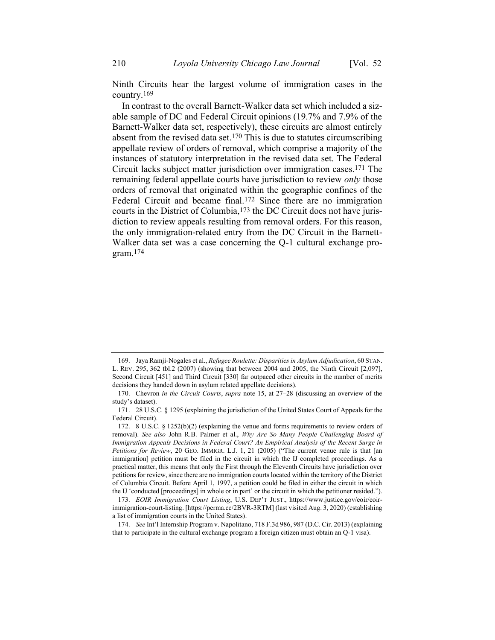Ninth Circuits hear the largest volume of immigration cases in the country.169

In contrast to the overall Barnett-Walker data set which included a sizable sample of DC and Federal Circuit opinions (19.7% and 7.9% of the Barnett-Walker data set, respectively), these circuits are almost entirely absent from the revised data set.<sup>170</sup> This is due to statutes circumscribing appellate review of orders of removal, which comprise a majority of the instances of statutory interpretation in the revised data set. The Federal Circuit lacks subject matter jurisdiction over immigration cases.171 The remaining federal appellate courts have jurisdiction to review *only* those orders of removal that originated within the geographic confines of the Federal Circuit and became final.172 Since there are no immigration courts in the District of Columbia,173 the DC Circuit does not have jurisdiction to review appeals resulting from removal orders. For this reason, the only immigration-related entry from the DC Circuit in the Barnett-Walker data set was a case concerning the Q-1 cultural exchange program.174

<sup>169.</sup> Jaya Ramji-Nogales et al., *Refugee Roulette: Disparities in Asylum Adjudication*, 60 STAN. L. REV. 295, 362 tbl.2 (2007) (showing that between 2004 and 2005, the Ninth Circuit [2,097], Second Circuit [451] and Third Circuit [330] far outpaced other circuits in the number of merits decisions they handed down in asylum related appellate decisions).

<sup>170.</sup> Chevron *in the Circuit Courts*, *supra* note [15,](#page-5-0) at 27–28 (discussing an overview of the study's dataset).

<sup>171.</sup> 28 U.S.C. § 1295 (explaining the jurisdiction of the United States Court of Appeals for the Federal Circuit).

<sup>172.</sup> 8 U.S.C. § 1252(b)(2) (explaining the venue and forms requirements to review orders of removal). *See also* John R.B. Palmer et al., *Why Are So Many People Challenging Board of Immigration Appeals Decisions in Federal Court? An Empirical Analysis of the Recent Surge in Petitions for Review*, 20 GEO. IMMIGR. L.J. 1, 21 (2005) ("The current venue rule is that [an immigration] petition must be filed in the circuit in which the IJ completed proceedings. As a practical matter, this means that only the First through the Eleventh Circuits have jurisdiction over petitions for review, since there are no immigration courts located within the territory of the District of Columbia Circuit. Before April 1, 1997, a petition could be filed in either the circuit in which the IJ 'conducted [proceedings] in whole or in part' or the circuit in which the petitioner resided.").

<sup>173.</sup> *EOIR Immigration Court Listing*, U.S. DEP'T JUST., [https://www.justice.gov/eoir/eoir](https://www.justice.gov/eoir/eoir-immigration-court-listing)[immigration-court-listing.](https://www.justice.gov/eoir/eoir-immigration-court-listing) [https://perma.cc/2BVR-3RTM] (last visited Aug. 3, 2020) (establishing a list of immigration courts in the United States).

<sup>174.</sup> *See* Int'l Internship Program v. Napolitano, 718 F.3d 986, 987 (D.C. Cir. 2013) (explaining that to participate in the cultural exchange program a foreign citizen must obtain an Q-1 visa).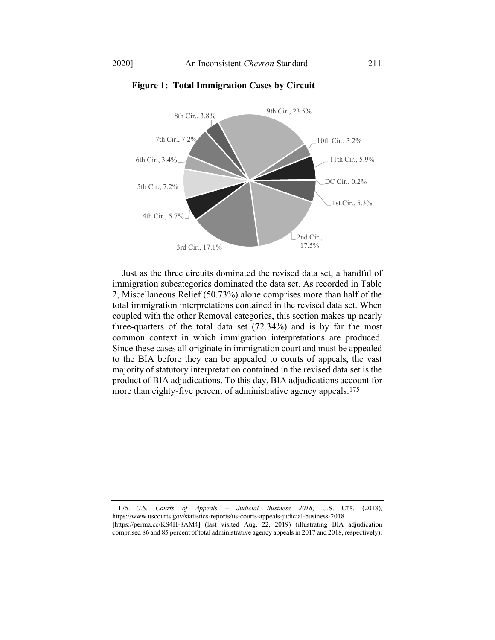

#### **Figure 1: Total Immigration Cases by Circuit**

Just as the three circuits dominated the revised data set, a handful of immigration subcategories dominated the data set. As recorded in Table 2, Miscellaneous Relief (50.73%) alone comprises more than half of the total immigration interpretations contained in the revised data set. When coupled with the other Removal categories, this section makes up nearly three-quarters of the total data set (72.34%) and is by far the most common context in which immigration interpretations are produced. Since these cases all originate in immigration court and must be appealed to the BIA before they can be appealed to courts of appeals, the vast majority of statutory interpretation contained in the revised data set is the product of BIA adjudications. To this day, BIA adjudications account for more than eighty-five percent of administrative agency appeals.175

175. *U.S. Courts of Appeals – Judicial Business 2018*, U.S. CTS. (2018), <https://www.uscourts.gov/statistics-reports/us-courts-appeals-judicial-business-2018> [https://perma.cc/KS4H-8AM4] (last visited Aug. 22, 2019) (illustrating BIA adjudication comprised 86 and 85 percent of total administrative agency appeals in 2017 and 2018, respectively).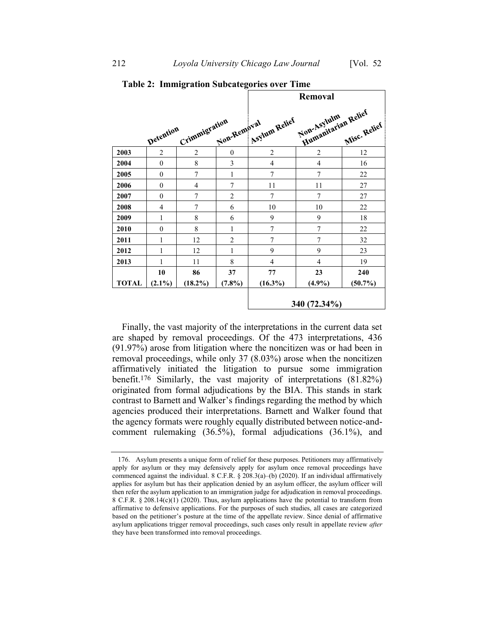|              |                 |                  |                 | <b>Removal</b>   |                                    |                   |
|--------------|-----------------|------------------|-----------------|------------------|------------------------------------|-------------------|
|              | Detention       | Crimmigration    | Non-Removal     | Asylum Relief    | Humanitarian Relief<br>Non-Asyluim | Misc. Relief      |
| 2003         | $\overline{2}$  | $\overline{2}$   | $\mathbf{0}$    | $\overline{2}$   | $\overline{2}$                     | 12                |
| 2004         | $\theta$        | 8                | 3               | $\overline{4}$   | 4                                  | 16                |
| 2005         | $\mathbf{0}$    | $\overline{7}$   | $\mathbf{1}$    | 7                | 7                                  | 22                |
| 2006         | $\mathbf{0}$    | $\overline{4}$   | 7               | 11               | 11                                 | 27                |
| 2007         | $\theta$        | 7                | $\overline{2}$  | 7                | 7                                  | 27                |
| 2008         | 4               | $\overline{7}$   | 6               | 10               | 10                                 | 22                |
| 2009         | 1               | 8                | 6               | 9                | 9                                  | 18                |
| 2010         | $\theta$        | 8                | $\mathbf{1}$    | $\overline{7}$   | 7                                  | 22                |
| 2011         | 1               | 12               | $\overline{2}$  | 7                | $\overline{7}$                     | 32                |
| 2012         | 1               | 12               | 1               | 9                | 9                                  | 23                |
| 2013         | 1               | 11               | 8               | 4                | 4                                  | 19                |
| <b>TOTAL</b> | 10<br>$(2.1\%)$ | 86<br>$(18.2\%)$ | 37<br>$(7.8\%)$ | 77<br>$(16.3\%)$ | 23<br>$(4.9\%)$                    | 240<br>$(50.7\%)$ |
|              |                 |                  |                 | 340 (72.34%)     |                                    |                   |

#### **Table 2: Immigration Subcategories over Time**

Finally, the vast majority of the interpretations in the current data set are shaped by removal proceedings. Of the 473 interpretations, 436 (91.97%) arose from litigation where the noncitizen was or had been in removal proceedings, while only 37 (8.03%) arose when the noncitizen affirmatively initiated the litigation to pursue some immigration benefit.176 Similarly, the vast majority of interpretations (81.82%) originated from formal adjudications by the BIA. This stands in stark contrast to Barnett and Walker's findings regarding the method by which agencies produced their interpretations. Barnett and Walker found that the agency formats were roughly equally distributed between notice-andcomment rulemaking (36.5%), formal adjudications (36.1%), and

<sup>176.</sup> Asylum presents a unique form of relief for these purposes. Petitioners may affirmatively apply for asylum or they may defensively apply for asylum once removal proceedings have commenced against the individual. 8 C.F.R. § 208.3(a)–(b) (2020). If an individual affirmatively applies for asylum but has their application denied by an asylum officer, the asylum officer will then refer the asylum application to an immigration judge for adjudication in removal proceedings. 8 C.F.R. § 208.14(c)(1) (2020). Thus, asylum applications have the potential to transform from affirmative to defensive applications. For the purposes of such studies, all cases are categorized based on the petitioner's posture at the time of the appellate review. Since denial of affirmative asylum applications trigger removal proceedings, such cases only result in appellate review *after* they have been transformed into removal proceedings.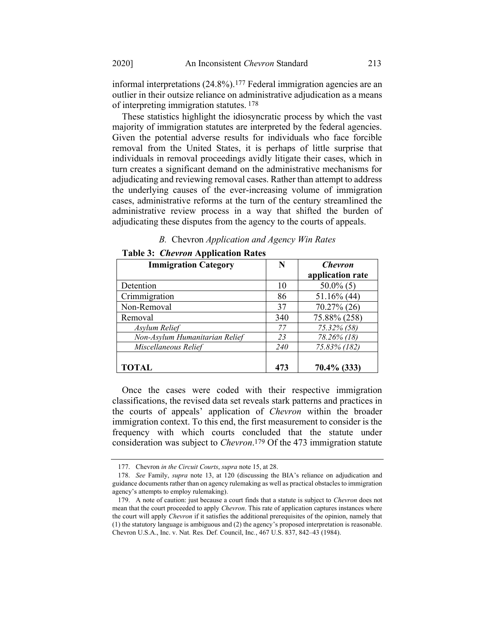informal interpretations (24.8%).177 Federal immigration agencies are an outlier in their outsize reliance on administrative adjudication as a means of interpreting immigration statutes. 178

These statistics highlight the idiosyncratic process by which the vast majority of immigration statutes are interpreted by the federal agencies. Given the potential adverse results for individuals who face forcible removal from the United States, it is perhaps of little surprise that individuals in removal proceedings avidly litigate their cases, which in turn creates a significant demand on the administrative mechanisms for adjudicating and reviewing removal cases. Rather than attempt to address the underlying causes of the ever-increasing volume of immigration cases, administrative reforms at the turn of the century streamlined the administrative review process in a way that shifted the burden of adjudicating these disputes from the agency to the courts of appeals.

|  | B. Chevron Application and Agency Win Rates |
|--|---------------------------------------------|
|  |                                             |

| <b>Immigration Category</b>    | N   | <b>Chevron</b>   |
|--------------------------------|-----|------------------|
|                                |     | application rate |
| Detention                      | 10  | $50.0\%$ (5)     |
| Crimmigration                  | 86  | $51.16\%$ (44)   |
| Non-Removal                    | 37  | $70.27\%$ (26)   |
| Removal                        | 340 | 75.88% (258)     |
| Asylum Relief                  | 77  | 75.32% (58)      |
| Non-Asylum Humanitarian Relief | 23  | 78.26% (18)      |
| Miscellaneous Relief           | 240 | 75.83% (182)     |
| <b>TOTAL</b>                   | 473 | $70.4\%$ (333)   |

**Table 3:** *Chevron* **Application Rates**

Once the cases were coded with their respective immigration classifications, the revised data set reveals stark patterns and practices in the courts of appeals' application of *Chevron* within the broader immigration context. To this end, the first measurement to consider is the frequency with which courts concluded that the statute under consideration was subject to *Chevron*. 179 Of the 473 immigration statute

<sup>177.</sup> Chevron *in the Circuit Courts*, *supra* not[e 15,](#page-5-0) at 28.

<sup>178.</sup> *See* Family, *supra* note [13,](#page-4-0) at 120 (discussing the BIA's reliance on adjudication and guidance documents rather than on agency rulemaking as well as practical obstacles to immigration agency's attempts to employ rulemaking).

<sup>179.</sup> A note of caution: just because a court finds that a statute is subject to *Chevron* does not mean that the court proceeded to apply *Chevron*. This rate of application captures instances where the court will apply *Chevron* if it satisfies the additional prerequisites of the opinion, namely that (1) the statutory language is ambiguous and (2) the agency's proposed interpretation is reasonable. Chevron U.S.A., Inc. v. Nat*.* Res*.* Def*.* Council, Inc*.*, 467 U.S. 837, 842–43 (1984).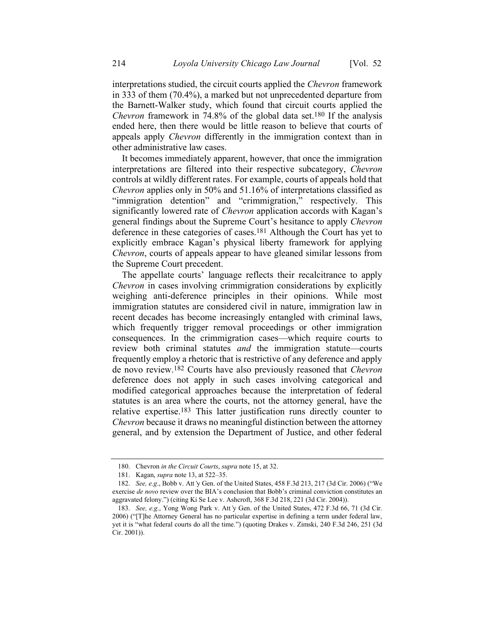interpretations studied, the circuit courts applied the *Chevron* framework in 333 of them (70.4%), a marked but not unprecedented departure from the Barnett-Walker study, which found that circuit courts applied the *Chevron* framework in 74.8% of the global data set.180 If the analysis ended here, then there would be little reason to believe that courts of appeals apply *Chevron* differently in the immigration context than in other administrative law cases.

It becomes immediately apparent, however, that once the immigration interpretations are filtered into their respective subcategory, *Chevron*  controls at wildly different rates. For example, courts of appeals hold that *Chevron* applies only in 50% and 51.16% of interpretations classified as "immigration detention" and "crimmigration," respectively. This significantly lowered rate of *Chevron* application accords with Kagan's general findings about the Supreme Court's hesitance to apply *Chevron* deference in these categories of cases.181 Although the Court has yet to explicitly embrace Kagan's physical liberty framework for applying *Chevron*, courts of appeals appear to have gleaned similar lessons from the Supreme Court precedent.

The appellate courts' language reflects their recalcitrance to apply *Chevron* in cases involving crimmigration considerations by explicitly weighing anti-deference principles in their opinions. While most immigration statutes are considered civil in nature, immigration law in recent decades has become increasingly entangled with criminal laws, which frequently trigger removal proceedings or other immigration consequences. In the crimmigration cases—which require courts to review both criminal statutes *and* the immigration statute—courts frequently employ a rhetoric that is restrictive of any deference and apply de novo review.182 Courts have also previously reasoned that *Chevron*  deference does not apply in such cases involving categorical and modified categorical approaches because the interpretation of federal statutes is an area where the courts, not the attorney general, have the relative expertise.183 This latter justification runs directly counter to *Chevron* because it draws no meaningful distinction between the attorney general, and by extension the Department of Justice, and other federal

<sup>180.</sup> Chevron *in the Circuit Courts*, *supra* not[e 15,](#page-5-0) at 32.

<sup>181.</sup> Kagan, *supra* note [13,](#page-4-0) at 522–35.

<sup>182.</sup> *See, e.g*., Bobb v. Att*'*y Gen. of the United States, 458 F.3d 213, 217 (3d Cir. 2006) ("We exercise *de novo* review over the BIA's conclusion that Bobb's criminal conviction constitutes an aggravated felony.") (citing Ki Se Lee v. Ashcroft, 368 F.3d 218, 221 (3d Cir. 2004)).

<sup>183.</sup> *See, e.g.*, Yong Wong Park v. Att*'*y Gen. of the United States, 472 F.3d 66, 71 (3d Cir. 2006) ("[T]he Attorney General has no particular expertise in defining a term under federal law, yet it is "what federal courts do all the time.") (quoting Drakes v. Zimski, 240 F.3d 246, 251 (3d Cir. 2001)).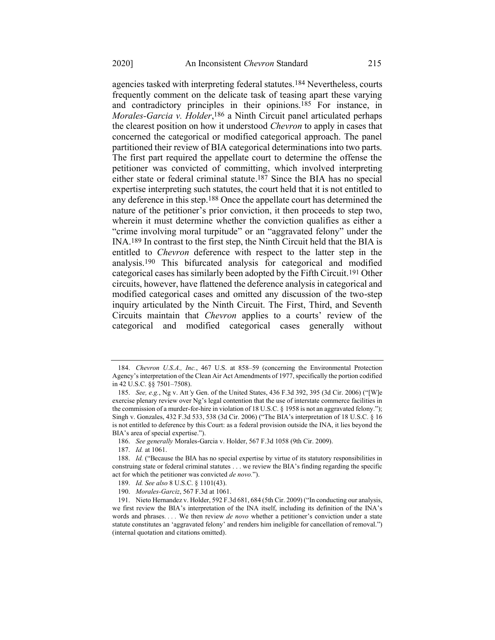agencies tasked with interpreting federal statutes.184 Nevertheless, courts frequently comment on the delicate task of teasing apart these varying and contradictory principles in their opinions.185 For instance, in *Morales-Garcia v. Holder*, 186 a Ninth Circuit panel articulated perhaps the clearest position on how it understood *Chevron* to apply in cases that concerned the categorical or modified categorical approach. The panel partitioned their review of BIA categorical determinations into two parts. The first part required the appellate court to determine the offense the petitioner was convicted of committing, which involved interpreting either state or federal criminal statute. 187 Since the BIA has no special expertise interpreting such statutes, the court held that it is not entitled to any deference in this step.188 Once the appellate court has determined the nature of the petitioner's prior conviction, it then proceeds to step two, wherein it must determine whether the conviction qualifies as either a "crime involving moral turpitude" or an "aggravated felony" under the INA.189 In contrast to the first step, the Ninth Circuit held that the BIA is entitled to *Chevron* deference with respect to the latter step in the analysis.190 This bifurcated analysis for categorical and modified categorical cases has similarly been adopted by the Fifth Circuit.191 Other circuits, however, have flattened the deference analysis in categorical and modified categorical cases and omitted any discussion of the two-step inquiry articulated by the Ninth Circuit. The First, Third, and Seventh Circuits maintain that *Chevron* applies to a courts' review of the categorical and modified categorical cases generally without

<sup>184.</sup> *Chevron U.S.A., Inc.*, 467 U.S. at 858–59 (concerning the Environmental Protection Agency's interpretation of the Clean Air Act Amendments of 1977, specifically the portion codified in 42 U.S.C. §§ 7501–7508).

<sup>185.</sup> *See, e.g.*, Ng v. Att*'*y Gen. of the United States, 436 F.3d 392, 395 (3d Cir. 2006) ("[W]e exercise plenary review over Ng's legal contention that the use of interstate commerce facilities in the commission of a murder-for-hire in violation of 18 U.S.C. § 1958 is not an aggravated felony."); Singh v. Gonzales, 432 F.3d 533, 538 (3d Cir. 2006) ("The BIA's interpretation of 18 U.S.C. § 16 is not entitled to deference by this Court: as a federal provision outside the INA, it lies beyond the BIA's area of special expertise.").

<sup>186.</sup> *See generally* Morales-Garcia v. Holder, 567 F.3d 1058 (9th Cir. 2009).

<sup>187.</sup> *Id.* at 1061.

<sup>188.</sup> *Id.* ("Because the BIA has no special expertise by virtue of its statutory responsibilities in construing state or federal criminal statutes . . . we review the BIA's finding regarding the specific act for which the petitioner was convicted *de novo.*").

<sup>189.</sup> *Id. See also* 8 U.S.C. § 1101(43).

<sup>190.</sup> *Morales-Garciz*, 567 F.3d at 1061.

<sup>191.</sup> Nieto Hernandez v. Holder, 592 F.3d 681, 684 (5th Cir. 2009) ("In conducting our analysis, we first review the BIA's interpretation of the INA itself, including its definition of the INA's words and phrases*. . . .* We then review *de novo* whether a petitioner's conviction under a state statute constitutes an 'aggravated felony' and renders him ineligible for cancellation of removal.") (internal quotation and citations omitted).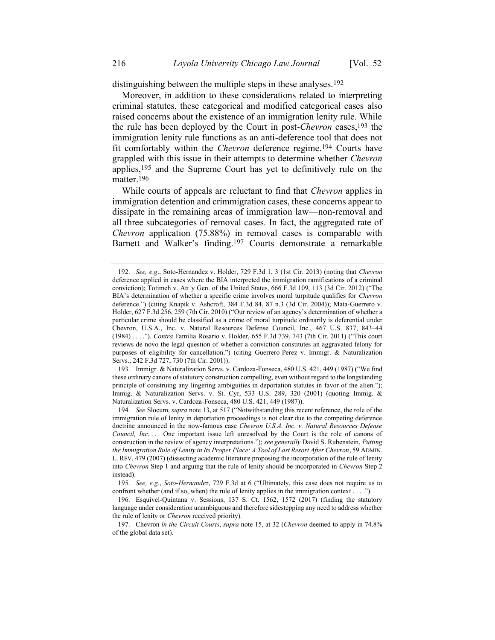distinguishing between the multiple steps in these analyses.<sup>192</sup>

Moreover, in addition to these considerations related to interpreting criminal statutes, these categorical and modified categorical cases also raised concerns about the existence of an immigration lenity rule. While the rule has been deployed by the Court in post-*Chevron* cases,193 the immigration lenity rule functions as an anti-deference tool that does not fit comfortably within the *Chevron* deference regime.194 Courts have grappled with this issue in their attempts to determine whether *Chevron*  applies,195 and the Supreme Court has yet to definitively rule on the matter.196

While courts of appeals are reluctant to find that *Chevron* applies in immigration detention and crimmigration cases, these concerns appear to dissipate in the remaining areas of immigration law—non-removal and all three subcategories of removal cases. In fact, the aggregated rate of *Chevron* application (75.88%) in removal cases is comparable with Barnett and Walker's finding.197 Courts demonstrate a remarkable

193. Immigr. & Naturalization Servs. v. Cardoza-Fonseca, 480 U.S. 421, 449 (1987) ("We find these ordinary canons of statutory construction compelling, even without regard to the longstanding principle of construing any lingering ambiguities in deportation statutes in favor of the alien."); Immig. & Naturalization Servs. v. St. Cyr, 533 U.S. 289, 320 (2001) (quoting Immig. & Naturalization Servs. v. Cardoza*-*Fonseca, 480 U.S. 421, 449 (1987)).

<sup>192.</sup> *See, e.g*., Soto-Hernandez v. Holder, 729 F.3d 1, 3 (1st Cir. 2013) (noting that *Chevron* deference applied in cases where the BIA interpreted the immigration ramifications of a criminal conviction); Totimeh v. Att*'*y Gen. of the United States, 666 F.3d 109, 113 (3d Cir. 2012) ("The BIA's determination of whether a specific crime involves moral turpitude qualifies for *Chevron* deference.") (citing Knapik v. Ashcroft, 384 F.3d 84, 87 n.3 (3d Cir. 2004)); Mata-Guerrero v. Holder, 627 F.3d 256, 259 (7th Cir. 2010) ("Our review of an agency's determination of whether a particular crime should be classified as a crime of moral turpitude ordinarily is deferential under Chevron, U.S.A., Inc. v. Natural Resources Defense Council, Inc., 467 U.S. 837, 843–44 (1984) . . . ."). *Contra* Familia Rosario v. Holder, 655 F.3d 739, 743 (7th Cir. 2011) ("This court reviews de novo the legal question of whether a conviction constitutes an aggravated felony for purposes of eligibility for cancellation.") (citing Guerrero*-*Perez v. Immigr. & Naturalization Servs., 242 F.3d 727, 730 (7th Cir. 2001)).

<sup>194.</sup> *See* Slocum, *supra* note [13,](#page-4-0) at 517 ("Notwithstanding this recent reference, the role of the immigration rule of lenity in deportation proceedings is not clear due to the competing deference doctrine announced in the now-famous case *Chevron U.S.A. Inc. v. Natural Resources Defense Council, Inc....* One important issue left unresolved by the Court is the role of canons of construction in the review of agency interpretations."); *see generally* David S. Rubenstein, *Putting the Immigration Rule of Lenity in Its Proper Place: A Tool of Last Resort After Chevron*, 59 ADMIN. L. REV. 479 (2007) (dissecting academic literature proposing the incorporation of the rule of lenity into *Chevron* Step 1 and arguing that the rule of lenity should be incorporated in *Chevron* Step 2 instead).

<sup>195.</sup> *See, e.g.*, *Soto-Hernandez*, 729 F.3d at 6 ("Ultimately, this case does not require us to confront whether (and if so, when) the rule of lenity applies in the immigration context . . . .").

<sup>196.</sup> Esquivel-Quintana v. Sessions, 137 S. Ct. 1562, 1572 (2017) (finding the statutory language under consideration unambiguous and therefore sidestepping any need to address whether the rule of lenity or *Chevron* received priority)*.*

<sup>197.</sup> Chevron *in the Circuit Courts*, *supra* note [15,](#page-5-0) at 32 (*Chevron* deemed to apply in 74.8% of the global data set).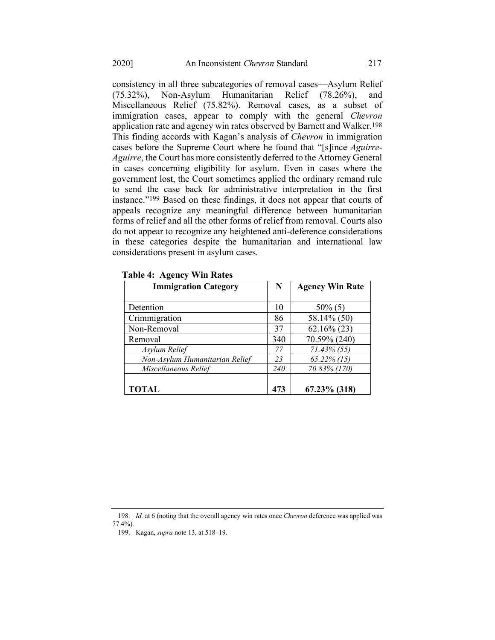consistency in all three subcategories of removal cases—Asylum Relief (75.32%), Non-Asylum Humanitarian Relief (78.26%), and Miscellaneous Relief (75.82%). Removal cases, as a subset of immigration cases, appear to comply with the general *Chevron* application rate and agency win rates observed by Barnett and Walker.198 This finding accords with Kagan's analysis of *Chevron* in immigration cases before the Supreme Court where he found that "[s]ince *Aguirre-Aguirre*, the Court has more consistently deferred to the Attorney General in cases concerning eligibility for asylum. Even in cases where the government lost, the Court sometimes applied the ordinary remand rule to send the case back for administrative interpretation in the first instance."199 Based on these findings, it does not appear that courts of appeals recognize any meaningful difference between humanitarian forms of relief and all the other forms of relief from removal. Courts also do not appear to recognize any heightened anti-deference considerations in these categories despite the humanitarian and international law considerations present in asylum cases.

| <b>Immigration Category</b>    | N   | <b>Agency Win Rate</b> |
|--------------------------------|-----|------------------------|
|                                |     |                        |
| Detention                      | 10  | $50\%$ (5)             |
| Crimmigration                  | 86  | 58.14% (50)            |
| Non-Removal                    | 37  | $62.16\%$ (23)         |
| Removal                        | 340 | 70.59% (240)           |
| Asylum Relief                  | 77  | $71.43\%$ (55)         |
| Non-Asylum Humanitarian Relief | 23  | $65.22\%$ (15)         |
| Miscellaneous Relief           | 240 | 70.83% (170)           |
| <b>TOTAL</b>                   | 473 | $67.23\%$ (318)        |

**Table 4: Agency Win Rates**

198. *Id.* at 6 (noting that the overall agency win rates once *Chevron* deference was applied was 77.4%).

<sup>199.</sup> Kagan, *supra* note [13,](#page-4-0) at 518–19.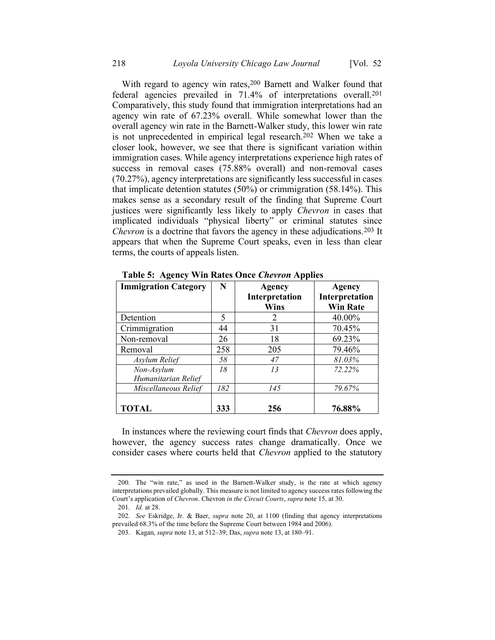With regard to agency win rates, <sup>200</sup> Barnett and Walker found that federal agencies prevailed in 71.4% of interpretations overall.201 Comparatively, this study found that immigration interpretations had an agency win rate of 67.23% overall. While somewhat lower than the overall agency win rate in the Barnett-Walker study, this lower win rate is not unprecedented in empirical legal research.202 When we take a closer look, however, we see that there is significant variation within immigration cases. While agency interpretations experience high rates of success in removal cases (75.88% overall) and non-removal cases (70.27%), agency interpretations are significantly less successful in cases that implicate detention statutes (50%) or crimmigration (58.14%). This makes sense as a secondary result of the finding that Supreme Court justices were significantly less likely to apply *Chevron* in cases that implicated individuals "physical liberty" or criminal statutes since *Chevron* is a doctrine that favors the agency in these adjudications.<sup>203</sup> It appears that when the Supreme Court speaks, even in less than clear terms, the courts of appeals listen.

| <b>Immigration Category</b>       | N   | <b>Agency</b><br>Interpretation<br>Wins | <b>Agency</b><br>Interpretation<br><b>Win Rate</b> |
|-----------------------------------|-----|-----------------------------------------|----------------------------------------------------|
| Detention                         | 5   | 2                                       | 40.00%                                             |
| Crimmigration                     | 44  | 31                                      | 70.45%                                             |
| Non-removal                       | 26  | 18                                      | 69.23%                                             |
| Removal                           | 258 | 205                                     | 79.46%                                             |
| Asylum Relief                     | 58  | 47                                      | 81.03%                                             |
| Non-Asylum<br>Humanitarian Relief | 18  | 13                                      | 72.22%                                             |
| Miscellaneous Relief              | 182 | 145                                     | 79.67%                                             |
| <b>TOTAL</b>                      | 333 | 256                                     | 76.88%                                             |

**Table 5: Agency Win Rates Once** *Chevron* **Applies**

In instances where the reviewing court finds that *Chevron* does apply, however, the agency success rates change dramatically. Once we consider cases where courts held that *Chevron* applied to the statutory

<sup>200.</sup> The "win rate," as used in the Barnett-Walker study, is the rate at which agency interpretations prevailed globally. This measure is not limited to agency success rates following the Court's application of *Chevron*. Chevron *in the Circuit Courts*, *supra* not[e 15,](#page-5-0) at 30.

<sup>201.</sup> *Id.* at 28.

<sup>202.</sup> *See* Eskridge, Jr. & Baer, *supra* note [20,](#page-6-0) at 1100 (finding that agency interpretations prevailed 68.3% of the time before the Supreme Court between 1984 and 2006).

<sup>203.</sup> Kagan, *supra* note [13,](#page-4-0) at 512–39; Das, *supra* not[e 13,](#page-4-0) at 180–91.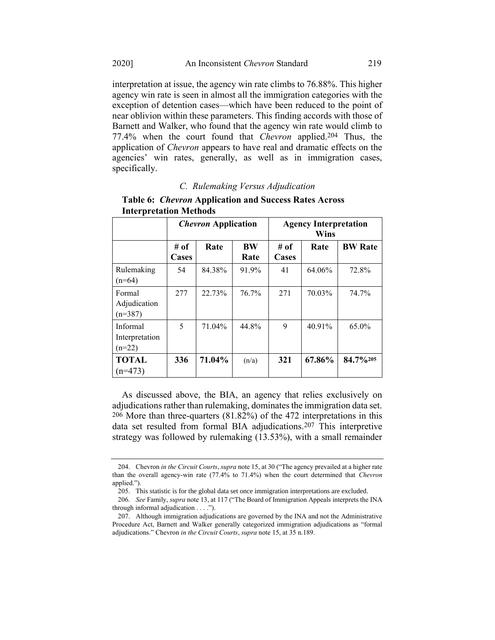agency win rate is seen in almost all the immigration categories with the exception of detention cases—which have been reduced to the point of near oblivion within these parameters. This finding accords with those of Barnett and Walker, who found that the agency win rate would climb to 77.4% when the court found that *Chevron* applied.204 Thus, the application of *Chevron* appears to have real and dramatic effects on the agencies' win rates, generally, as well as in immigration cases, specifically.

# *C. Rulemaking Versus Adjudication*

|                                        | <i><b>Chevron Application</b></i> |        | <b>Agency Interpretation</b><br><b>Wins</b> |               |        |                |
|----------------------------------------|-----------------------------------|--------|---------------------------------------------|---------------|--------|----------------|
|                                        | # of<br>Cases                     | Rate   | <b>BW</b><br>Rate                           | # of<br>Cases | Rate   | <b>BW Rate</b> |
| Rulemaking<br>$(n=64)$                 | 54                                | 84.38% | 91.9%                                       | 41            | 64.06% | 72.8%          |
| Formal<br>Adjudication<br>$(n=387)$    | 277                               | 22.73% | 76.7%                                       | 271           | 70.03% | 74.7%          |
| Informal<br>Interpretation<br>$(n=22)$ | 5                                 | 71.04% | 44.8%                                       | 9             | 40.91% | 65.0%          |
| <b>TOTAL</b><br>$(n=473)$              | 336                               | 71.04% | (n/a)                                       | 321           | 67.86% | 84.7%205       |

**Table 6:** *Chevron* **Application and Success Rates Across Interpretation Methods**

As discussed above, the BIA, an agency that relies exclusively on adjudications rather than rulemaking, dominates the immigration data set. 206 More than three-quarters (81.82%) of the 472 interpretations in this data set resulted from formal BIA adjudications.207 This interpretive strategy was followed by rulemaking (13.53%), with a small remainder

<sup>204.</sup> Chevron *in the Circuit Courts*, *supra* not[e 15,](#page-5-0) at 30 ("The agency prevailed at a higher rate than the overall agency-win rate (77.4% to 71.4%) when the court determined that *Chevron* applied.").

<sup>205.</sup> This statistic is for the global data set once immigration interpretations are excluded.

<sup>206.</sup> *See* Family, *supra* not[e 13](#page-4-0), at 117 ("The Board of Immigration Appeals interprets the INA through informal adjudication . . . .").

<sup>207.</sup> Although immigration adjudications are governed by the INA and not the Administrative Procedure Act, Barnett and Walker generally categorized immigration adjudications as "formal adjudications." Chevron *in the Circuit Courts*, *supra* note [15,](#page-5-0) at 35 n.189.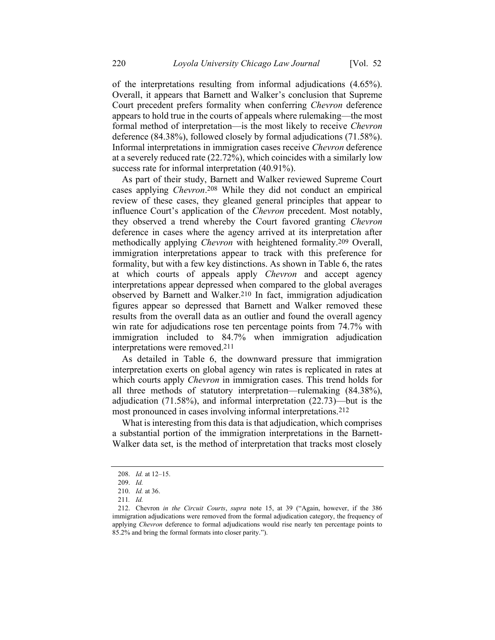of the interpretations resulting from informal adjudications (4.65%). Overall, it appears that Barnett and Walker's conclusion that Supreme Court precedent prefers formality when conferring *Chevron* deference appears to hold true in the courts of appeals where rulemaking—the most formal method of interpretation—is the most likely to receive *Chevron* deference (84.38%), followed closely by formal adjudications (71.58%). Informal interpretations in immigration cases receive *Chevron* deference at a severely reduced rate (22.72%), which coincides with a similarly low success rate for informal interpretation (40.91%).

As part of their study, Barnett and Walker reviewed Supreme Court cases applying *Chevron*. 208 While they did not conduct an empirical review of these cases, they gleaned general principles that appear to influence Court's application of the *Chevron* precedent. Most notably, they observed a trend whereby the Court favored granting *Chevron*  deference in cases where the agency arrived at its interpretation after methodically applying *Chevron* with heightened formality.209 Overall, immigration interpretations appear to track with this preference for formality, but with a few key distinctions. As shown in Table 6, the rates at which courts of appeals apply *Chevron* and accept agency interpretations appear depressed when compared to the global averages observed by Barnett and Walker.210 In fact, immigration adjudication figures appear so depressed that Barnett and Walker removed these results from the overall data as an outlier and found the overall agency win rate for adjudications rose ten percentage points from 74.7% with immigration included to 84.7% when immigration adjudication interpretations were removed. 211

As detailed in Table 6, the downward pressure that immigration interpretation exerts on global agency win rates is replicated in rates at which courts apply *Chevron* in immigration cases. This trend holds for all three methods of statutory interpretation—rulemaking (84.38%), adjudication (71.58%), and informal interpretation (22.73)—but is the most pronounced in cases involving informal interpretations.212

What is interesting from this data is that adjudication, which comprises a substantial portion of the immigration interpretations in the Barnett-Walker data set, is the method of interpretation that tracks most closely

<sup>208.</sup> *Id.* at 12–15.

<sup>209.</sup> *Id.*

<sup>210.</sup> *Id.* at 36.

<sup>211</sup>*. Id.*

<sup>212.</sup> Chevron *in the Circuit Courts*, *supra* note [15,](#page-5-0) at 39 ("Again, however, if the 386 immigration adjudications were removed from the formal adjudication category, the frequency of applying *Chevron* deference to formal adjudications would rise nearly ten percentage points to 85.2% and bring the formal formats into closer parity.").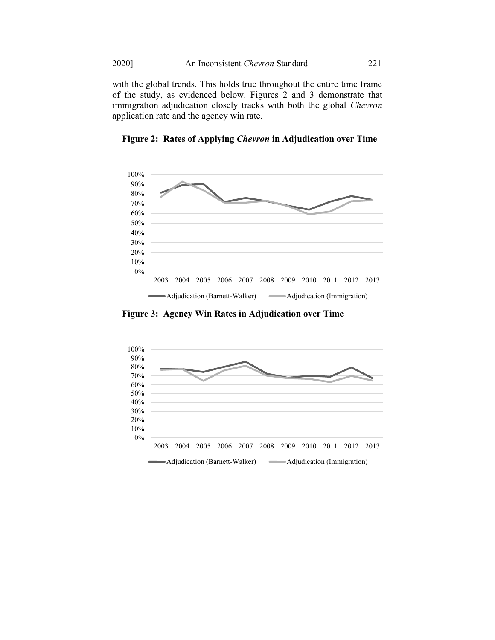with the global trends. This holds true throughout the entire time frame of the study, as evidenced below. Figures 2 and 3 demonstrate that immigration adjudication closely tracks with both the global *Chevron* application rate and the agency win rate.



**Figure 2: Rates of Applying** *Chevron* **in Adjudication over Time**

**Figure 3: Agency Win Rates in Adjudication over Time**

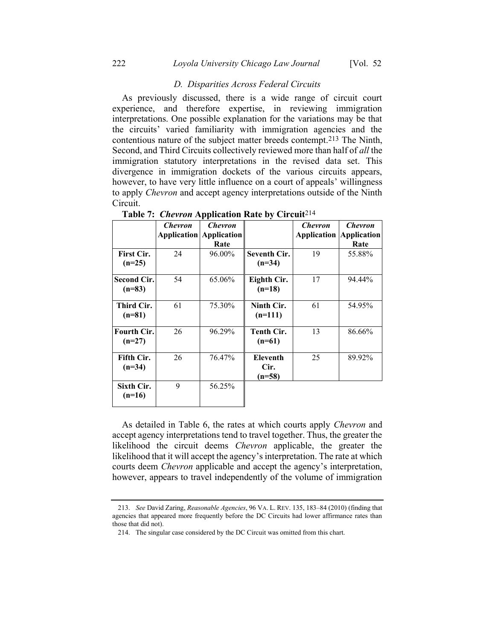# *D. Disparities Across Federal Circuits*

As previously discussed, there is a wide range of circuit court experience, and therefore expertise, in reviewing immigration interpretations. One possible explanation for the variations may be that the circuits' varied familiarity with immigration agencies and the contentious nature of the subject matter breeds contempt.213 The Ninth, Second, and Third Circuits collectively reviewed more than half of *all* the immigration statutory interpretations in the revised data set. This divergence in immigration dockets of the various circuits appears, however, to have very little influence on a court of appeals' willingness to apply *Chevron* and accept agency interpretations outside of the Ninth Circuit.

|                                | <b>Chevron</b> | <b>Chevron</b>                 |                                   | <b>Chevron</b>                 | <b>Chevron</b> |
|--------------------------------|----------------|--------------------------------|-----------------------------------|--------------------------------|----------------|
|                                |                | <b>Application Application</b> |                                   | <b>Application Application</b> |                |
|                                |                | Rate                           |                                   |                                | Rate           |
| <b>First Cir.</b>              | 24             | 96.00%                         | <b>Seventh Cir.</b>               | 19                             | 55.88%         |
| $(n=25)$                       |                |                                | $(n=34)$                          |                                |                |
| <b>Second Cir.</b><br>$(n=83)$ | 54             | 65.06%                         | Eighth Cir.<br>$(n=18)$           | 17                             | 94.44%         |
| Third Cir.<br>$(n=81)$         | 61             | 75.30%                         | Ninth Cir.<br>$(n=111)$           | 61                             | 54.95%         |
| <b>Fourth Cir.</b><br>$(n=27)$ | 26             | 96.29%                         | <b>Tenth Cir.</b><br>$(n=61)$     | 13                             | 86.66%         |
| Fifth Cir.<br>$(n=34)$         | 26             | 76.47%                         | <b>Eleventh</b><br>Cir.<br>(n=58) | 25                             | 89.92%         |
| Sixth Cir.<br>$(n=16)$         | 9              | 56.25%                         |                                   |                                |                |

**Table 7:** *Chevron* **Application Rate by Circuit**214

As detailed in Table 6, the rates at which courts apply *Chevron* and accept agency interpretations tend to travel together. Thus, the greater the likelihood the circuit deems *Chevron* applicable, the greater the likelihood that it will accept the agency's interpretation. The rate at which courts deem *Chevron* applicable and accept the agency's interpretation, however, appears to travel independently of the volume of immigration

<sup>213.</sup> *See* David Zaring, *Reasonable Agencies*, 96 VA. L. REV. 135, 183–84 (2010) (finding that agencies that appeared more frequently before the DC Circuits had lower affirmance rates than those that did not).

<sup>214.</sup> The singular case considered by the DC Circuit was omitted from this chart.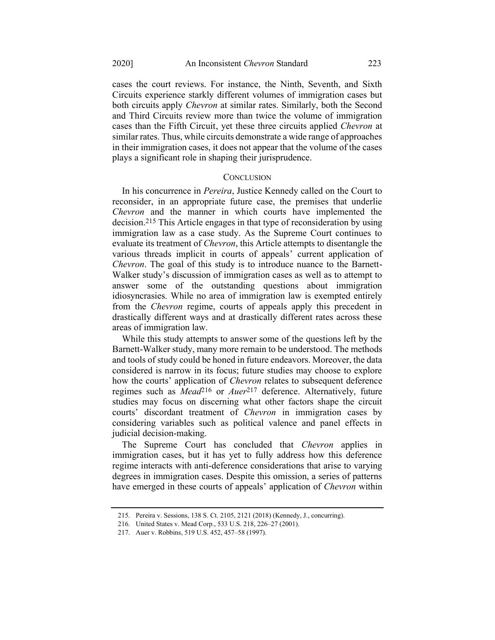cases the court reviews. For instance, the Ninth, Seventh, and Sixth Circuits experience starkly different volumes of immigration cases but both circuits apply *Chevron* at similar rates. Similarly, both the Second and Third Circuits review more than twice the volume of immigration cases than the Fifth Circuit, yet these three circuits applied *Chevron* at similar rates. Thus, while circuits demonstrate a wide range of approaches in their immigration cases, it does not appear that the volume of the cases plays a significant role in shaping their jurisprudence.

#### **CONCLUSION**

In his concurrence in *Pereira*, Justice Kennedy called on the Court to reconsider, in an appropriate future case, the premises that underlie *Chevron* and the manner in which courts have implemented the decision.215 This Article engages in that type of reconsideration by using immigration law as a case study. As the Supreme Court continues to evaluate its treatment of *Chevron*, this Article attempts to disentangle the various threads implicit in courts of appeals' current application of *Chevron*. The goal of this study is to introduce nuance to the Barnett-Walker study's discussion of immigration cases as well as to attempt to answer some of the outstanding questions about immigration idiosyncrasies. While no area of immigration law is exempted entirely from the *Chevron* regime, courts of appeals apply this precedent in drastically different ways and at drastically different rates across these areas of immigration law.

While this study attempts to answer some of the questions left by the Barnett-Walker study, many more remain to be understood. The methods and tools of study could be honed in future endeavors. Moreover, the data considered is narrow in its focus; future studies may choose to explore how the courts' application of *Chevron* relates to subsequent deference regimes such as *Mead*216 or *Auer*217 deference. Alternatively, future studies may focus on discerning what other factors shape the circuit courts' discordant treatment of *Chevron* in immigration cases by considering variables such as political valence and panel effects in judicial decision-making.

The Supreme Court has concluded that *Chevron* applies in immigration cases, but it has yet to fully address how this deference regime interacts with anti-deference considerations that arise to varying degrees in immigration cases. Despite this omission, a series of patterns have emerged in these courts of appeals' application of *Chevron* within

<sup>215.</sup> Pereira v. Sessions, 138 S. Ct. 2105, 2121 (2018) (Kennedy, J., concurring).

<sup>216.</sup> United States v. Mead Corp., 533 U.S. 218, 226–27 (2001).

<sup>217.</sup> Auer v. Robbins, 519 U.S. 452, 457–58 (1997).